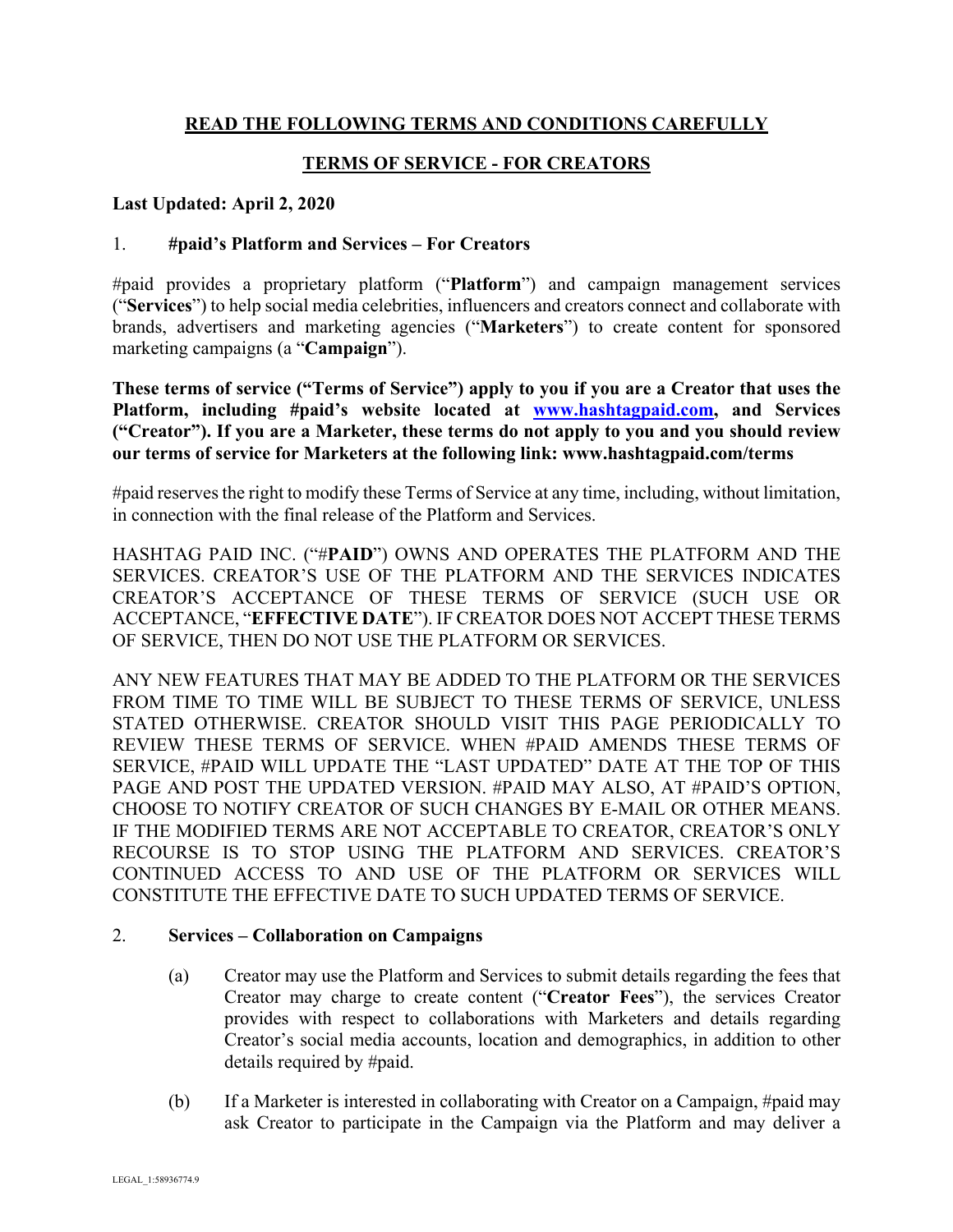# **READ THE FOLLOWING TERMS AND CONDITIONS CAREFULLY**

# **TERMS OF SERVICE - FOR CREATORS**

### **Last Updated: April 2, 2020**

## 1. **#paid's Platform and Services – For Creators**

#paid provides a proprietary platform ("**Platform**") and campaign management services ("**Services**") to help social media celebrities, influencers and creators connect and collaborate with brands, advertisers and marketing agencies ("**Marketers**") to create content for sponsored marketing campaigns (a "**Campaign**").

**These terms of service ("Terms of Service") apply to you if you are a Creator that uses the Platform, including #paid's website located at www.hashtagpaid.com, and Services ("Creator"). If you are a Marketer, these terms do not apply to you and you should review our terms of service for Marketers at the following link: www.hashtagpaid.com/terms**

#paid reserves the right to modify these Terms of Service at any time, including, without limitation, in connection with the final release of the Platform and Services.

HASHTAG PAID INC. ("#**PAID**") OWNS AND OPERATES THE PLATFORM AND THE SERVICES. CREATOR'S USE OF THE PLATFORM AND THE SERVICES INDICATES CREATOR'S ACCEPTANCE OF THESE TERMS OF SERVICE (SUCH USE OR ACCEPTANCE, "**EFFECTIVE DATE**"). IF CREATOR DOES NOT ACCEPT THESE TERMS OF SERVICE, THEN DO NOT USE THE PLATFORM OR SERVICES.

ANY NEW FEATURES THAT MAY BE ADDED TO THE PLATFORM OR THE SERVICES FROM TIME TO TIME WILL BE SUBJECT TO THESE TERMS OF SERVICE, UNLESS STATED OTHERWISE. CREATOR SHOULD VISIT THIS PAGE PERIODICALLY TO REVIEW THESE TERMS OF SERVICE. WHEN #PAID AMENDS THESE TERMS OF SERVICE, #PAID WILL UPDATE THE "LAST UPDATED" DATE AT THE TOP OF THIS PAGE AND POST THE UPDATED VERSION. #PAID MAY ALSO, AT #PAID'S OPTION, CHOOSE TO NOTIFY CREATOR OF SUCH CHANGES BY E-MAIL OR OTHER MEANS. IF THE MODIFIED TERMS ARE NOT ACCEPTABLE TO CREATOR, CREATOR'S ONLY RECOURSE IS TO STOP USING THE PLATFORM AND SERVICES. CREATOR'S CONTINUED ACCESS TO AND USE OF THE PLATFORM OR SERVICES WILL CONSTITUTE THE EFFECTIVE DATE TO SUCH UPDATED TERMS OF SERVICE.

### 2. **Services – Collaboration on Campaigns**

- (a) Creator may use the Platform and Services to submit details regarding the fees that Creator may charge to create content ("**Creator Fees**"), the services Creator provides with respect to collaborations with Marketers and details regarding Creator's social media accounts, location and demographics, in addition to other details required by #paid.
- (b) If a Marketer is interested in collaborating with Creator on a Campaign, #paid may ask Creator to participate in the Campaign via the Platform and may deliver a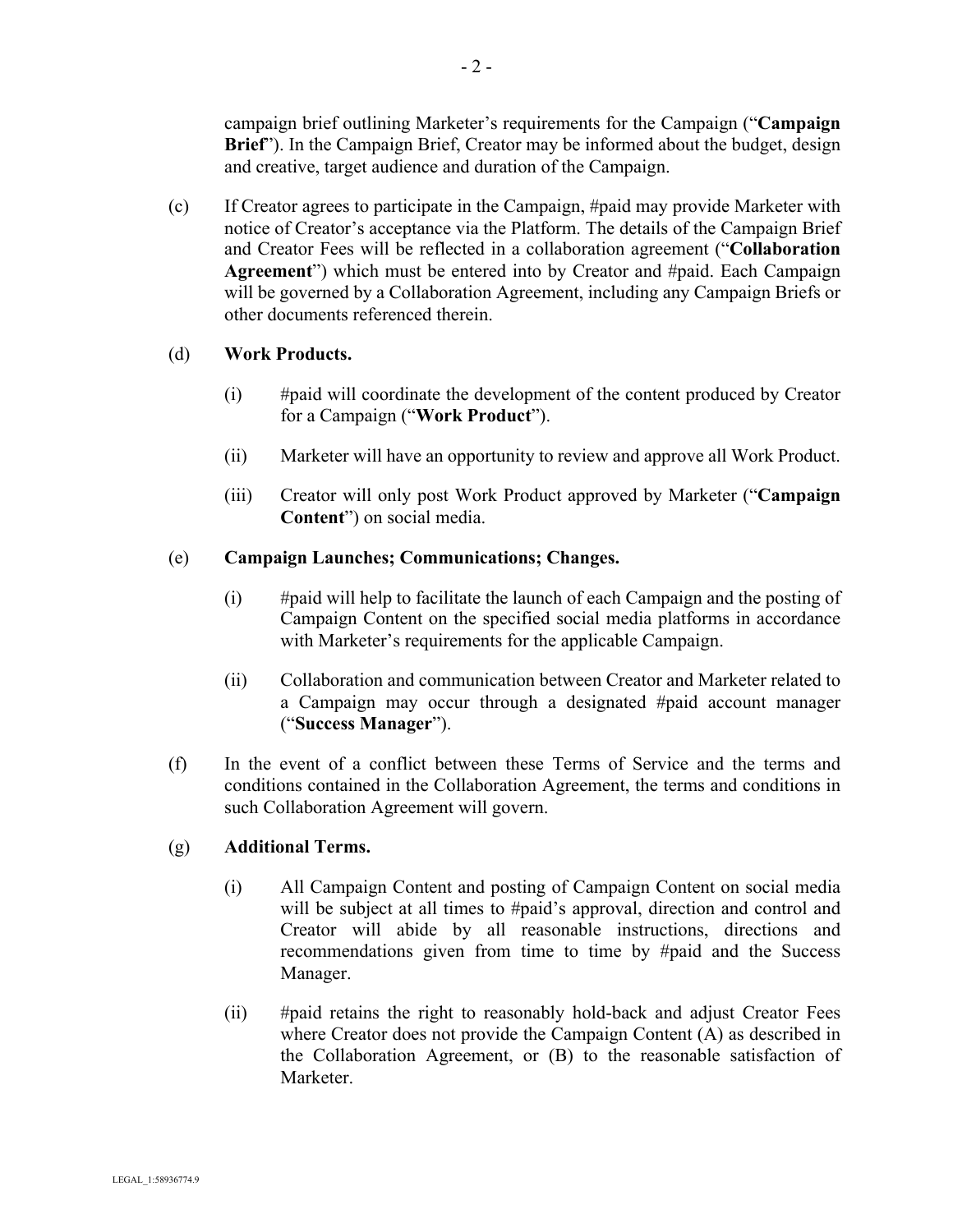campaign brief outlining Marketer's requirements for the Campaign ("**Campaign Brief**"). In the Campaign Brief, Creator may be informed about the budget, design and creative, target audience and duration of the Campaign.

(c) If Creator agrees to participate in the Campaign, #paid may provide Marketer with notice of Creator's acceptance via the Platform. The details of the Campaign Brief and Creator Fees will be reflected in a collaboration agreement ("**Collaboration Agreement**") which must be entered into by Creator and #paid. Each Campaign will be governed by a Collaboration Agreement, including any Campaign Briefs or other documents referenced therein.

# (d) **Work Products.**

- (i) #paid will coordinate the development of the content produced by Creator for a Campaign ("**Work Product**").
- (ii) Marketer will have an opportunity to review and approve all Work Product.
- (iii) Creator will only post Work Product approved by Marketer ("**Campaign Content**") on social media.

# (e) **Campaign Launches; Communications; Changes.**

- (i) #paid will help to facilitate the launch of each Campaign and the posting of Campaign Content on the specified social media platforms in accordance with Marketer's requirements for the applicable Campaign.
- (ii) Collaboration and communication between Creator and Marketer related to a Campaign may occur through a designated #paid account manager ("**Success Manager**").
- (f) In the event of a conflict between these Terms of Service and the terms and conditions contained in the Collaboration Agreement, the terms and conditions in such Collaboration Agreement will govern.

# (g) **Additional Terms.**

- (i) All Campaign Content and posting of Campaign Content on social media will be subject at all times to #paid's approval, direction and control and Creator will abide by all reasonable instructions, directions and recommendations given from time to time by #paid and the Success Manager.
- (ii) #paid retains the right to reasonably hold-back and adjust Creator Fees where Creator does not provide the Campaign Content (A) as described in the Collaboration Agreement, or (B) to the reasonable satisfaction of Marketer.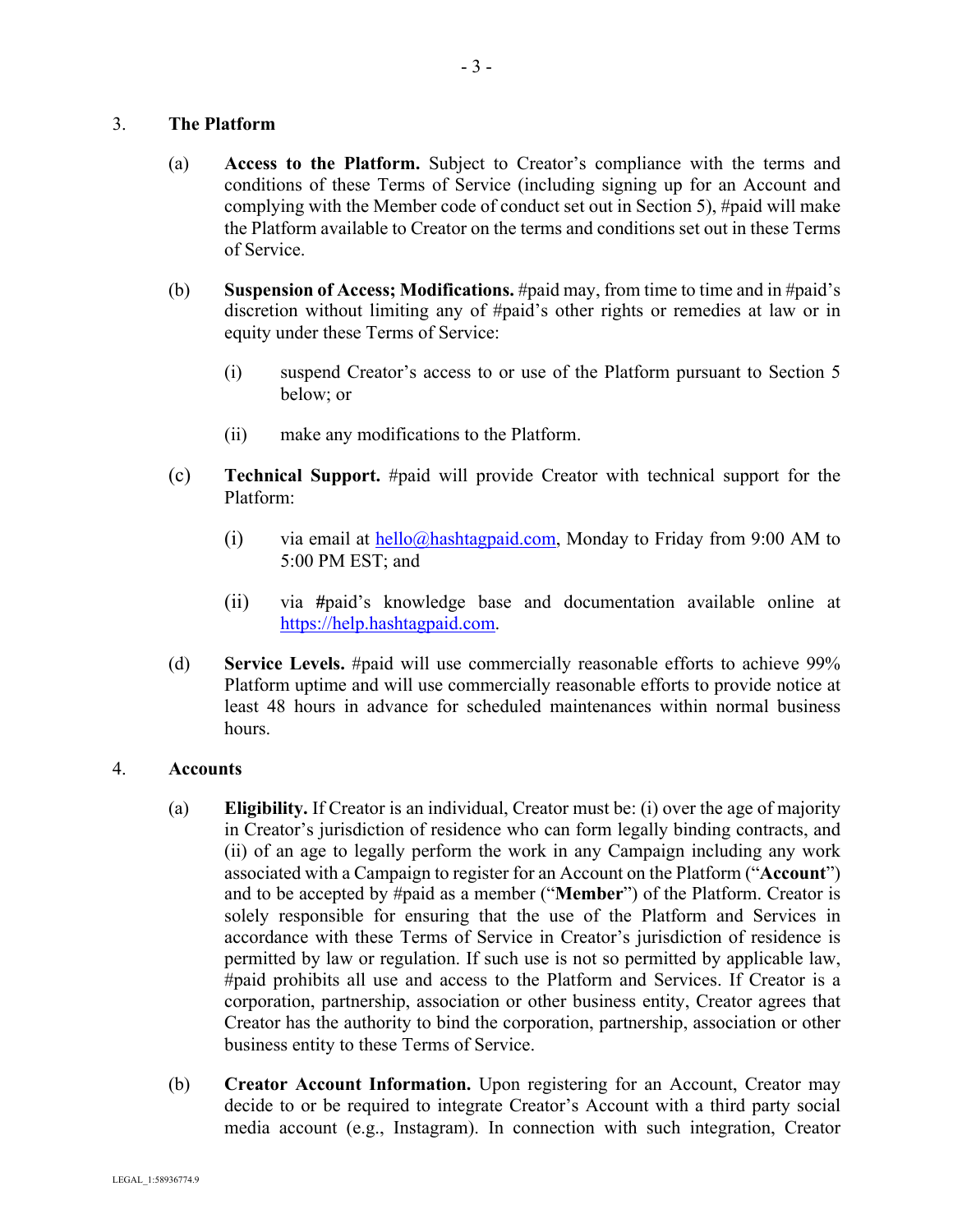### 3. **The Platform**

- (a) **Access to the Platform.** Subject to Creator's compliance with the terms and conditions of these Terms of Service (including signing up for an Account and complying with the Member code of conduct set out in Section 5), #paid will make the Platform available to Creator on the terms and conditions set out in these Terms of Service.
- (b) **Suspension of Access; Modifications.** #paid may, from time to time and in #paid's discretion without limiting any of #paid's other rights or remedies at law or in equity under these Terms of Service:
	- (i) suspend Creator's access to or use of the Platform pursuant to Section 5 below; or
	- (ii) make any modifications to the Platform.
- (c) **Technical Support.** #paid will provide Creator with technical support for the Platform:
	- (i) via email at  $\frac{\text{hello}(a)\text{hashtag} \text{paid.com}}{\text{signal.com}}$ , Monday to Friday from 9:00 AM to 5:00 PM EST; and
	- (ii) via **#**paid's knowledge base and documentation available online at https://help.hashtagpaid.com.
- (d) **Service Levels.** #paid will use commercially reasonable efforts to achieve 99% Platform uptime and will use commercially reasonable efforts to provide notice at least 48 hours in advance for scheduled maintenances within normal business hours.

### 4. **Accounts**

- (a) **Eligibility.** If Creator is an individual, Creator must be: (i) over the age of majority in Creator's jurisdiction of residence who can form legally binding contracts, and (ii) of an age to legally perform the work in any Campaign including any work associated with a Campaign to register for an Account on the Platform ("**Account**") and to be accepted by #paid as a member ("**Member**") of the Platform. Creator is solely responsible for ensuring that the use of the Platform and Services in accordance with these Terms of Service in Creator's jurisdiction of residence is permitted by law or regulation. If such use is not so permitted by applicable law, #paid prohibits all use and access to the Platform and Services. If Creator is a corporation, partnership, association or other business entity, Creator agrees that Creator has the authority to bind the corporation, partnership, association or other business entity to these Terms of Service.
- (b) **Creator Account Information.** Upon registering for an Account, Creator may decide to or be required to integrate Creator's Account with a third party social media account (e.g., Instagram). In connection with such integration, Creator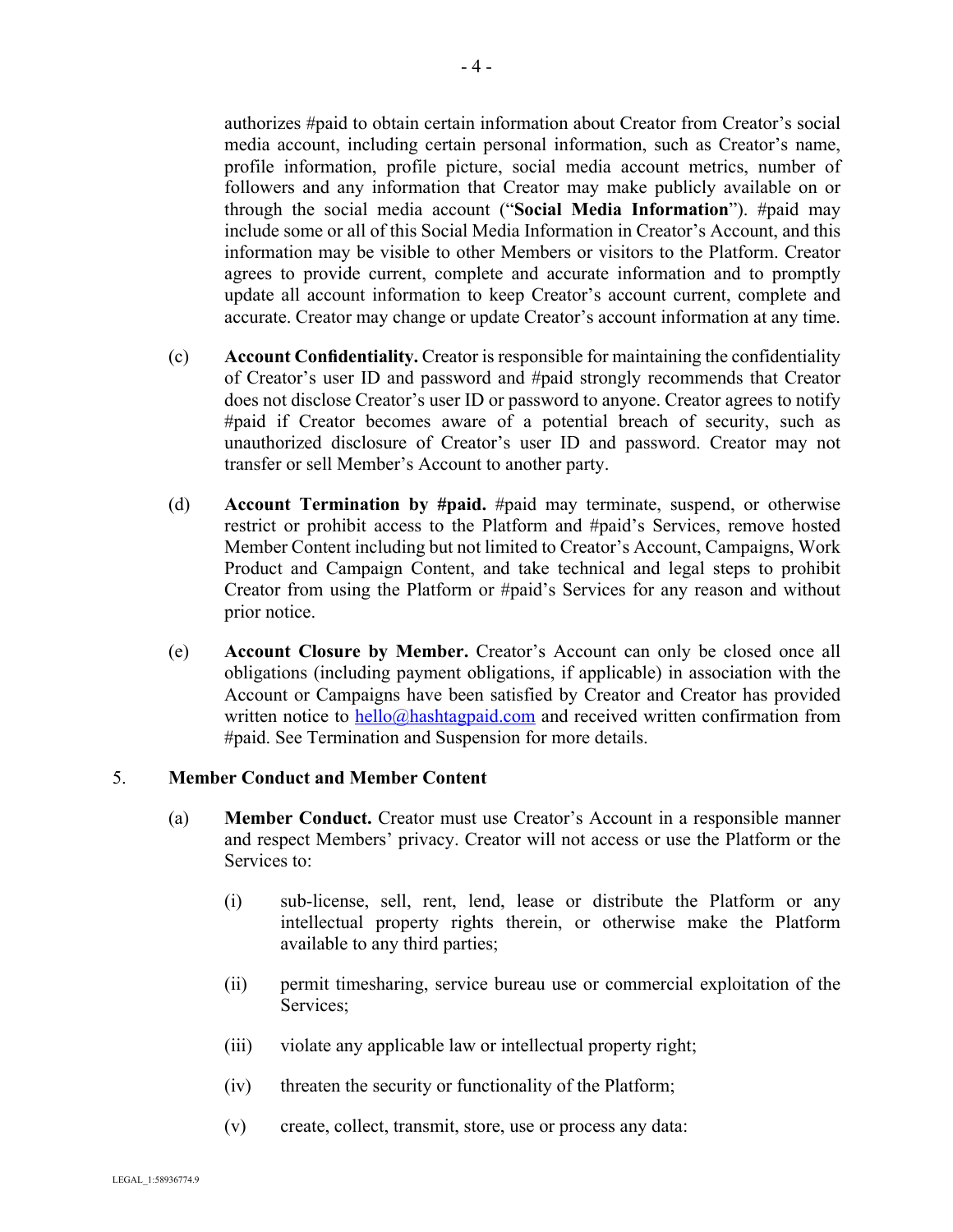authorizes #paid to obtain certain information about Creator from Creator's social media account, including certain personal information, such as Creator's name, profile information, profile picture, social media account metrics, number of followers and any information that Creator may make publicly available on or through the social media account ("**Social Media Information**"). #paid may include some or all of this Social Media Information in Creator's Account, and this information may be visible to other Members or visitors to the Platform. Creator agrees to provide current, complete and accurate information and to promptly update all account information to keep Creator's account current, complete and accurate. Creator may change or update Creator's account information at any time.

- (c) **Account Confidentiality.** Creator is responsible for maintaining the confidentiality of Creator's user ID and password and #paid strongly recommends that Creator does not disclose Creator's user ID or password to anyone. Creator agrees to notify #paid if Creator becomes aware of a potential breach of security, such as unauthorized disclosure of Creator's user ID and password. Creator may not transfer or sell Member's Account to another party.
- (d) **Account Termination by #paid.** #paid may terminate, suspend, or otherwise restrict or prohibit access to the Platform and #paid's Services, remove hosted Member Content including but not limited to Creator's Account, Campaigns, Work Product and Campaign Content, and take technical and legal steps to prohibit Creator from using the Platform or #paid's Services for any reason and without prior notice.
- (e) **Account Closure by Member.** Creator's Account can only be closed once all obligations (including payment obligations, if applicable) in association with the Account or Campaigns have been satisfied by Creator and Creator has provided written notice to  $\frac{hello(\hat{\omega})$  hashtagpaid.com and received written confirmation from #paid. See Termination and Suspension for more details.

### 5. **Member Conduct and Member Content**

- (a) **Member Conduct.** Creator must use Creator's Account in a responsible manner and respect Members' privacy. Creator will not access or use the Platform or the Services to:
	- (i) sub-license, sell, rent, lend, lease or distribute the Platform or any intellectual property rights therein, or otherwise make the Platform available to any third parties;
	- (ii) permit timesharing, service bureau use or commercial exploitation of the Services;
	- (iii) violate any applicable law or intellectual property right;
	- (iv) threaten the security or functionality of the Platform;
	- (v) create, collect, transmit, store, use or process any data: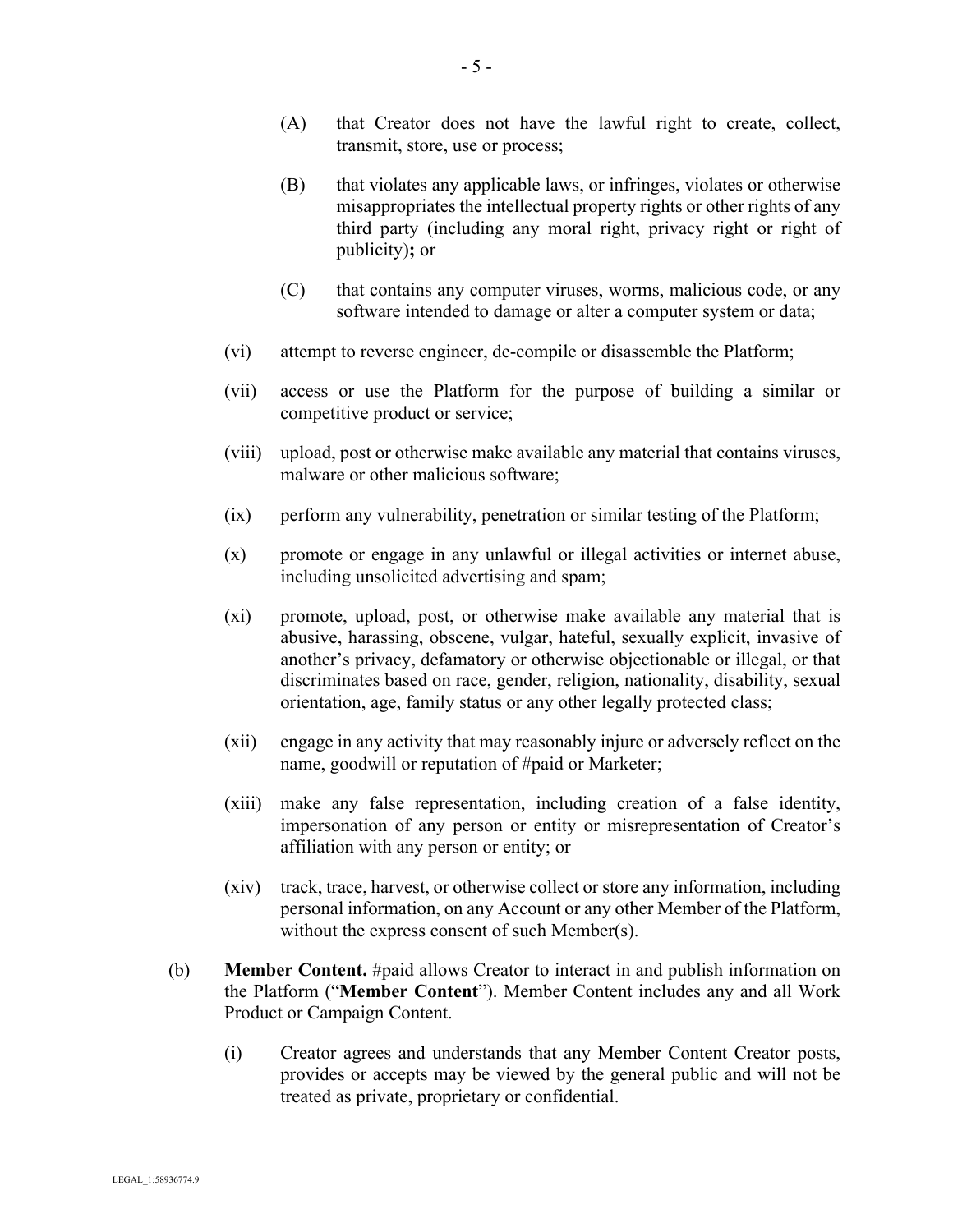- (A) that Creator does not have the lawful right to create, collect, transmit, store, use or process;
- (B) that violates any applicable laws, or infringes, violates or otherwise misappropriates the intellectual property rights or other rights of any third party (including any moral right, privacy right or right of publicity)**;** or
- (C) that contains any computer viruses, worms, malicious code, or any software intended to damage or alter a computer system or data;
- (vi) attempt to reverse engineer, de-compile or disassemble the Platform;
- (vii) access or use the Platform for the purpose of building a similar or competitive product or service;
- (viii) upload, post or otherwise make available any material that contains viruses, malware or other malicious software;
- (ix) perform any vulnerability, penetration or similar testing of the Platform;
- (x) promote or engage in any unlawful or illegal activities or internet abuse, including unsolicited advertising and spam;
- (xi) promote, upload, post, or otherwise make available any material that is abusive, harassing, obscene, vulgar, hateful, sexually explicit, invasive of another's privacy, defamatory or otherwise objectionable or illegal, or that discriminates based on race, gender, religion, nationality, disability, sexual orientation, age, family status or any other legally protected class;
- (xii) engage in any activity that may reasonably injure or adversely reflect on the name, goodwill or reputation of #paid or Marketer;
- (xiii) make any false representation, including creation of a false identity, impersonation of any person or entity or misrepresentation of Creator's affiliation with any person or entity; or
- (xiv) track, trace, harvest, or otherwise collect or store any information, including personal information, on any Account or any other Member of the Platform, without the express consent of such Member(s).
- (b) **Member Content.** #paid allows Creator to interact in and publish information on the Platform ("**Member Content**"). Member Content includes any and all Work Product or Campaign Content.
	- (i) Creator agrees and understands that any Member Content Creator posts, provides or accepts may be viewed by the general public and will not be treated as private, proprietary or confidential.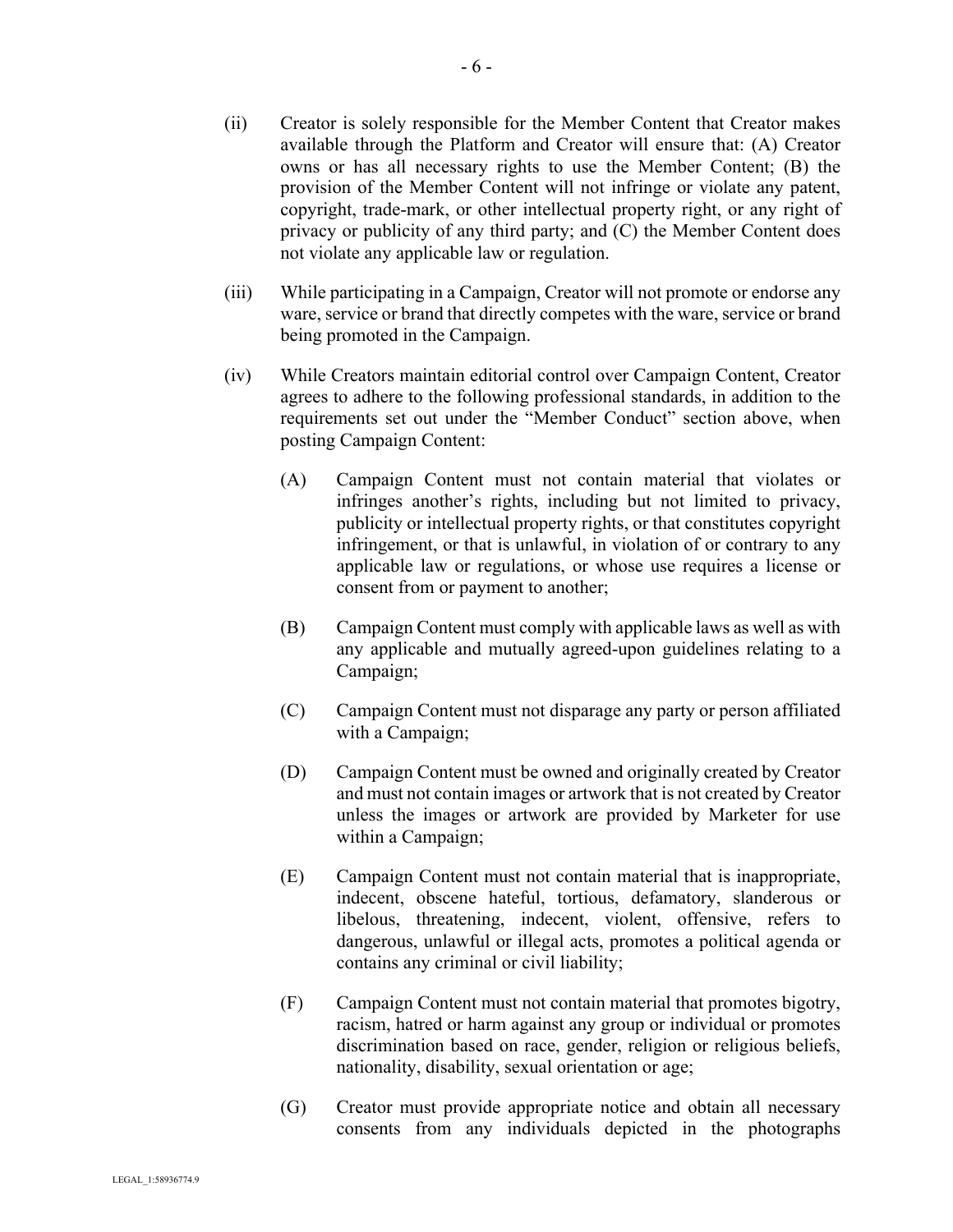- (ii) Creator is solely responsible for the Member Content that Creator makes available through the Platform and Creator will ensure that: (A) Creator owns or has all necessary rights to use the Member Content; (B) the provision of the Member Content will not infringe or violate any patent, copyright, trade-mark, or other intellectual property right, or any right of privacy or publicity of any third party; and (C) the Member Content does not violate any applicable law or regulation.
- (iii) While participating in a Campaign, Creator will not promote or endorse any ware, service or brand that directly competes with the ware, service or brand being promoted in the Campaign.
- (iv) While Creators maintain editorial control over Campaign Content, Creator agrees to adhere to the following professional standards, in addition to the requirements set out under the "Member Conduct" section above, when posting Campaign Content:
	- (A) Campaign Content must not contain material that violates or infringes another's rights, including but not limited to privacy, publicity or intellectual property rights, or that constitutes copyright infringement, or that is unlawful, in violation of or contrary to any applicable law or regulations, or whose use requires a license or consent from or payment to another;
	- (B) Campaign Content must comply with applicable laws as well as with any applicable and mutually agreed-upon guidelines relating to a Campaign;
	- (C) Campaign Content must not disparage any party or person affiliated with a Campaign;
	- (D) Campaign Content must be owned and originally created by Creator and must not contain images or artwork that is not created by Creator unless the images or artwork are provided by Marketer for use within a Campaign;
	- (E) Campaign Content must not contain material that is inappropriate, indecent, obscene hateful, tortious, defamatory, slanderous or libelous, threatening, indecent, violent, offensive, refers to dangerous, unlawful or illegal acts, promotes a political agenda or contains any criminal or civil liability;
	- (F) Campaign Content must not contain material that promotes bigotry, racism, hatred or harm against any group or individual or promotes discrimination based on race, gender, religion or religious beliefs, nationality, disability, sexual orientation or age;
	- (G) Creator must provide appropriate notice and obtain all necessary consents from any individuals depicted in the photographs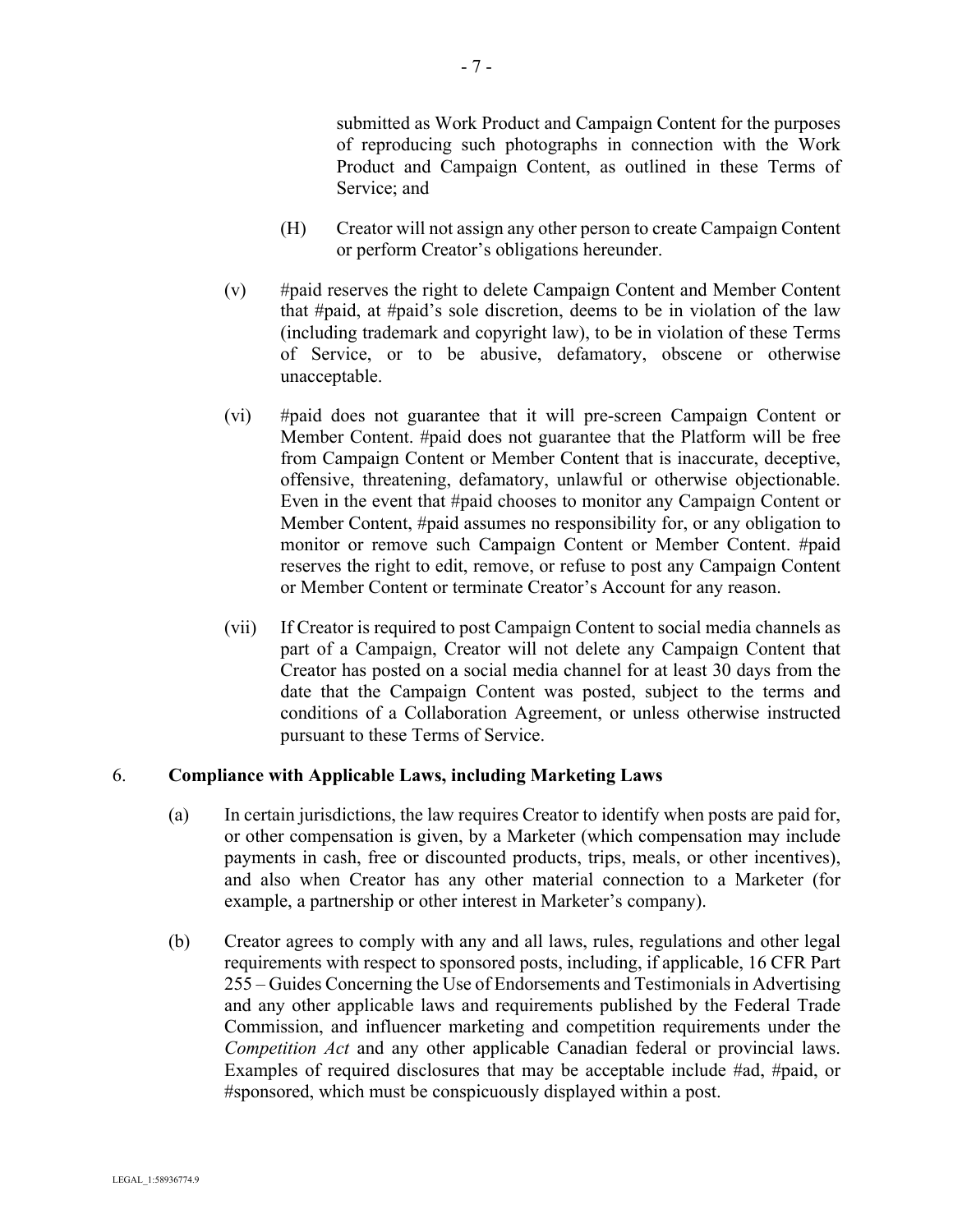submitted as Work Product and Campaign Content for the purposes of reproducing such photographs in connection with the Work Product and Campaign Content, as outlined in these Terms of Service; and

- (H) Creator will not assign any other person to create Campaign Content or perform Creator's obligations hereunder.
- (v) #paid reserves the right to delete Campaign Content and Member Content that #paid, at #paid's sole discretion, deems to be in violation of the law (including trademark and copyright law), to be in violation of these Terms of Service, or to be abusive, defamatory, obscene or otherwise unacceptable.
- (vi) #paid does not guarantee that it will pre-screen Campaign Content or Member Content. #paid does not guarantee that the Platform will be free from Campaign Content or Member Content that is inaccurate, deceptive, offensive, threatening, defamatory, unlawful or otherwise objectionable. Even in the event that #paid chooses to monitor any Campaign Content or Member Content, #paid assumes no responsibility for, or any obligation to monitor or remove such Campaign Content or Member Content. #paid reserves the right to edit, remove, or refuse to post any Campaign Content or Member Content or terminate Creator's Account for any reason.
- (vii) If Creator is required to post Campaign Content to social media channels as part of a Campaign, Creator will not delete any Campaign Content that Creator has posted on a social media channel for at least 30 days from the date that the Campaign Content was posted, subject to the terms and conditions of a Collaboration Agreement, or unless otherwise instructed pursuant to these Terms of Service.

#### 6. **Compliance with Applicable Laws, including Marketing Laws**

- (a) In certain jurisdictions, the law requires Creator to identify when posts are paid for, or other compensation is given, by a Marketer (which compensation may include payments in cash, free or discounted products, trips, meals, or other incentives), and also when Creator has any other material connection to a Marketer (for example, a partnership or other interest in Marketer's company).
- (b) Creator agrees to comply with any and all laws, rules, regulations and other legal requirements with respect to sponsored posts, including, if applicable, 16 CFR Part 255 – Guides Concerning the Use of Endorsements and Testimonials in Advertising and any other applicable laws and requirements published by the Federal Trade Commission, and influencer marketing and competition requirements under the *Competition Act* and any other applicable Canadian federal or provincial laws. Examples of required disclosures that may be acceptable include #ad, #paid, or #sponsored, which must be conspicuously displayed within a post.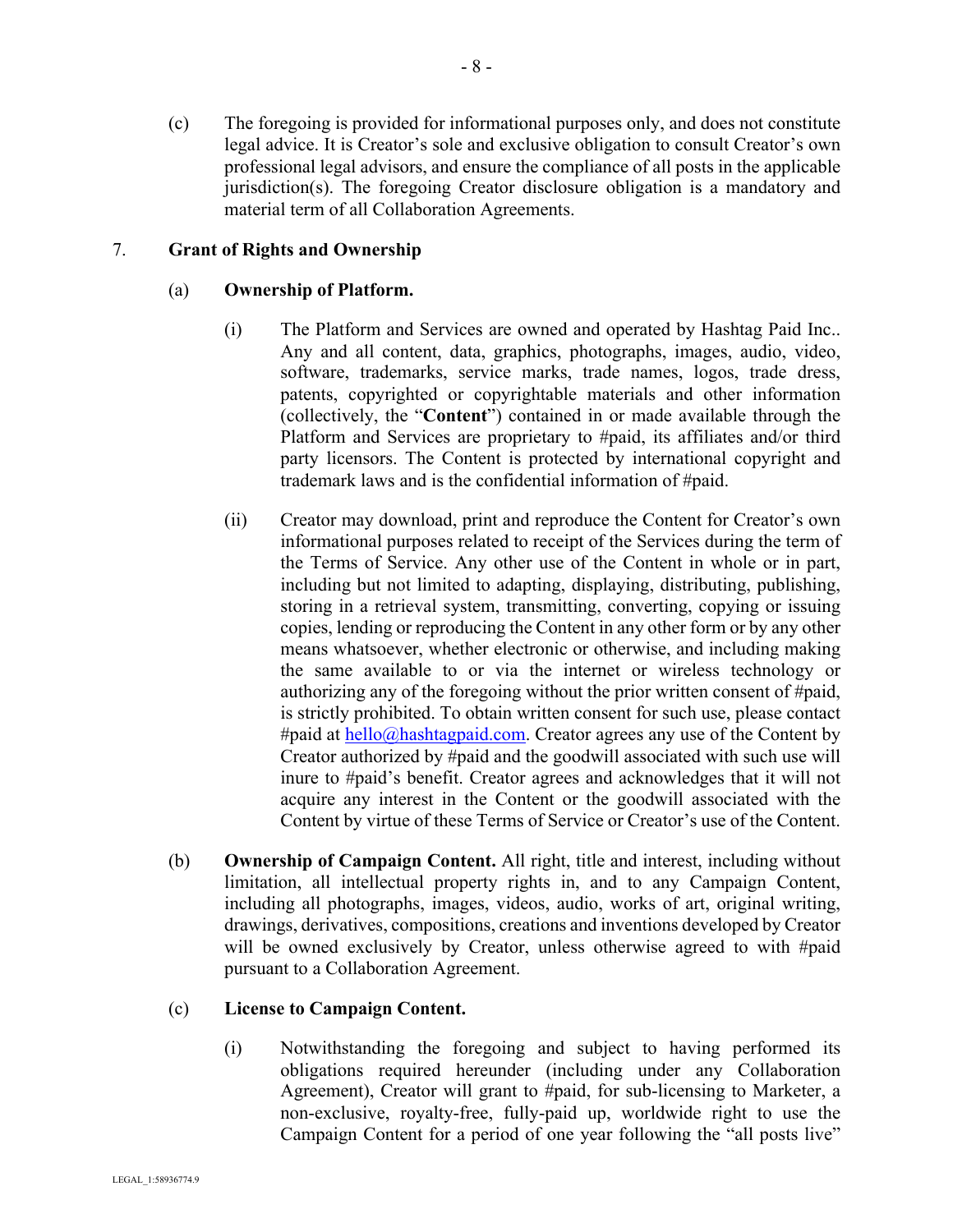(c) The foregoing is provided for informational purposes only, and does not constitute legal advice. It is Creator's sole and exclusive obligation to consult Creator's own professional legal advisors, and ensure the compliance of all posts in the applicable jurisdiction(s). The foregoing Creator disclosure obligation is a mandatory and material term of all Collaboration Agreements.

# 7. **Grant of Rights and Ownership**

## (a) **Ownership of Platform.**

- (i) The Platform and Services are owned and operated by Hashtag Paid Inc.. Any and all content, data, graphics, photographs, images, audio, video, software, trademarks, service marks, trade names, logos, trade dress, patents, copyrighted or copyrightable materials and other information (collectively, the "**Content**") contained in or made available through the Platform and Services are proprietary to #paid, its affiliates and/or third party licensors. The Content is protected by international copyright and trademark laws and is the confidential information of #paid.
- (ii) Creator may download, print and reproduce the Content for Creator's own informational purposes related to receipt of the Services during the term of the Terms of Service. Any other use of the Content in whole or in part, including but not limited to adapting, displaying, distributing, publishing, storing in a retrieval system, transmitting, converting, copying or issuing copies, lending or reproducing the Content in any other form or by any other means whatsoever, whether electronic or otherwise, and including making the same available to or via the internet or wireless technology or authorizing any of the foregoing without the prior written consent of #paid, is strictly prohibited. To obtain written consent for such use, please contact #paid at hello@hashtagpaid.com. Creator agrees any use of the Content by Creator authorized by #paid and the goodwill associated with such use will inure to #paid's benefit. Creator agrees and acknowledges that it will not acquire any interest in the Content or the goodwill associated with the Content by virtue of these Terms of Service or Creator's use of the Content.
- (b) **Ownership of Campaign Content.** All right, title and interest, including without limitation, all intellectual property rights in, and to any Campaign Content, including all photographs, images, videos, audio, works of art, original writing, drawings, derivatives, compositions, creations and inventions developed by Creator will be owned exclusively by Creator, unless otherwise agreed to with #paid pursuant to a Collaboration Agreement.

### (c) **License to Campaign Content.**

(i) Notwithstanding the foregoing and subject to having performed its obligations required hereunder (including under any Collaboration Agreement), Creator will grant to #paid, for sub-licensing to Marketer, a non-exclusive, royalty-free, fully-paid up, worldwide right to use the Campaign Content for a period of one year following the "all posts live"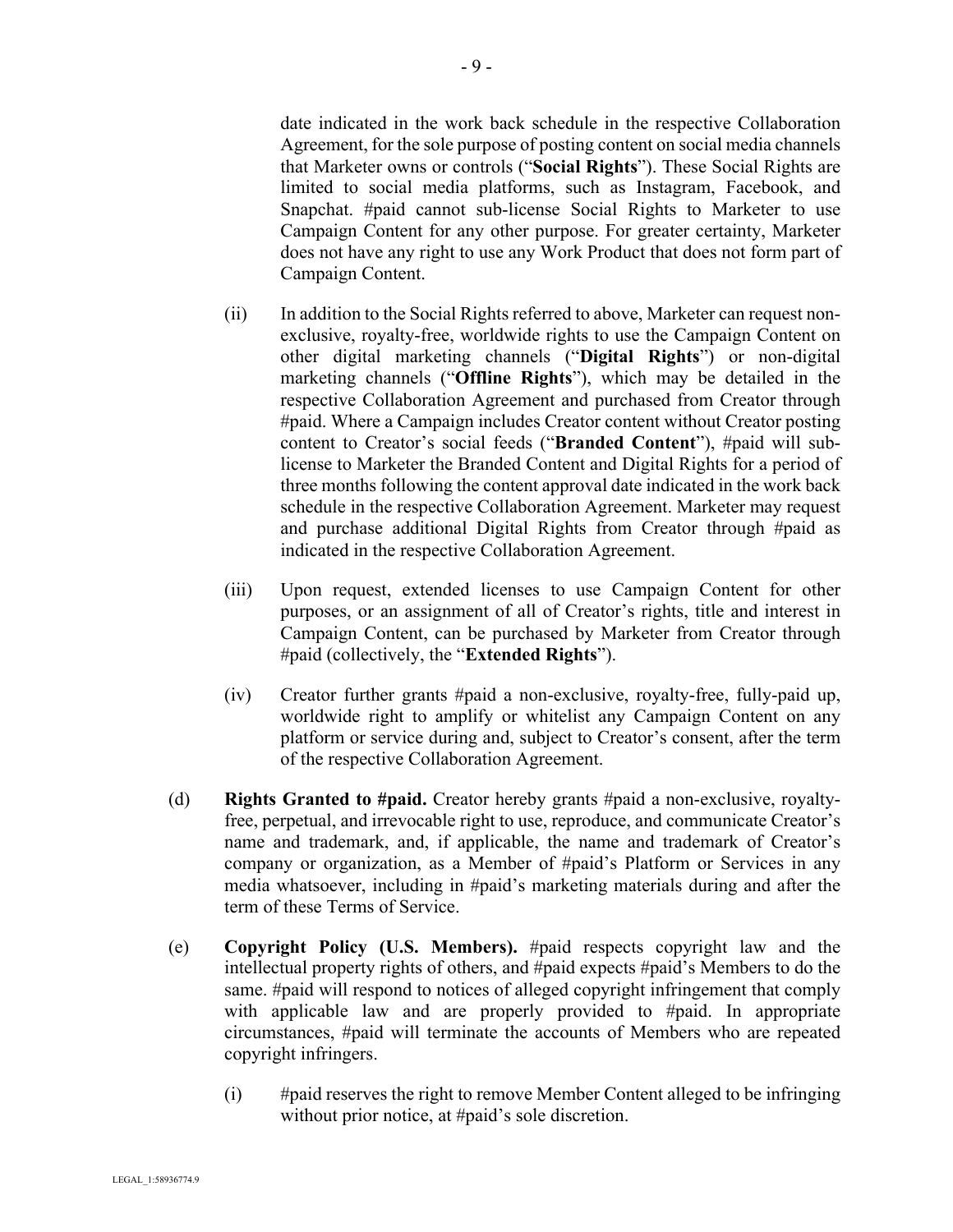date indicated in the work back schedule in the respective Collaboration Agreement, for the sole purpose of posting content on social media channels that Marketer owns or controls ("**Social Rights**"). These Social Rights are limited to social media platforms, such as Instagram, Facebook, and Snapchat. #paid cannot sub-license Social Rights to Marketer to use Campaign Content for any other purpose. For greater certainty, Marketer does not have any right to use any Work Product that does not form part of Campaign Content.

- (ii) In addition to the Social Rights referred to above, Marketer can request nonexclusive, royalty-free, worldwide rights to use the Campaign Content on other digital marketing channels ("**Digital Rights**") or non-digital marketing channels ("**Offline Rights**"), which may be detailed in the respective Collaboration Agreement and purchased from Creator through #paid. Where a Campaign includes Creator content without Creator posting content to Creator's social feeds ("**Branded Content**"), #paid will sublicense to Marketer the Branded Content and Digital Rights for a period of three months following the content approval date indicated in the work back schedule in the respective Collaboration Agreement. Marketer may request and purchase additional Digital Rights from Creator through #paid as indicated in the respective Collaboration Agreement.
- (iii) Upon request, extended licenses to use Campaign Content for other purposes, or an assignment of all of Creator's rights, title and interest in Campaign Content, can be purchased by Marketer from Creator through #paid (collectively, the "**Extended Rights**").
- (iv) Creator further grants #paid a non-exclusive, royalty-free, fully-paid up, worldwide right to amplify or whitelist any Campaign Content on any platform or service during and, subject to Creator's consent, after the term of the respective Collaboration Agreement.
- (d) **Rights Granted to #paid.** Creator hereby grants #paid a non-exclusive, royaltyfree, perpetual, and irrevocable right to use, reproduce, and communicate Creator's name and trademark, and, if applicable, the name and trademark of Creator's company or organization, as a Member of #paid's Platform or Services in any media whatsoever, including in #paid's marketing materials during and after the term of these Terms of Service.
- (e) **Copyright Policy (U.S. Members).** #paid respects copyright law and the intellectual property rights of others, and #paid expects #paid's Members to do the same. #paid will respond to notices of alleged copyright infringement that comply with applicable law and are properly provided to #paid. In appropriate circumstances, #paid will terminate the accounts of Members who are repeated copyright infringers.
	- (i) #paid reserves the right to remove Member Content alleged to be infringing without prior notice, at #paid's sole discretion.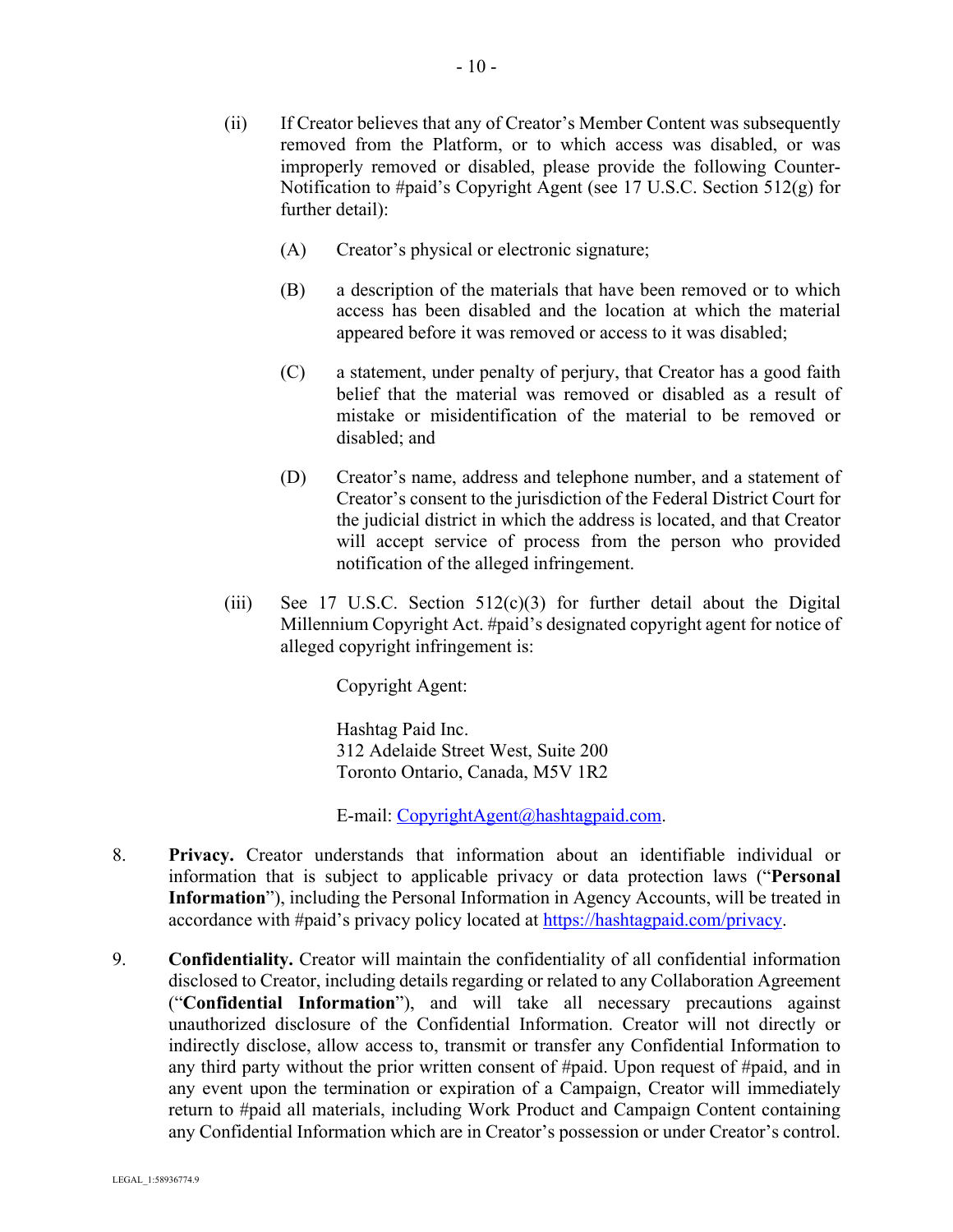- (ii) If Creator believes that any of Creator's Member Content was subsequently removed from the Platform, or to which access was disabled, or was improperly removed or disabled, please provide the following Counter-Notification to #paid's Copyright Agent (see 17 U.S.C. Section 512(g) for further detail):
	- (A) Creator's physical or electronic signature;
	- (B) a description of the materials that have been removed or to which access has been disabled and the location at which the material appeared before it was removed or access to it was disabled;
	- (C) a statement, under penalty of perjury, that Creator has a good faith belief that the material was removed or disabled as a result of mistake or misidentification of the material to be removed or disabled; and
	- (D) Creator's name, address and telephone number, and a statement of Creator's consent to the jurisdiction of the Federal District Court for the judicial district in which the address is located, and that Creator will accept service of process from the person who provided notification of the alleged infringement.
- (iii) See 17 U.S.C. Section  $512(c)(3)$  for further detail about the Digital Millennium Copyright Act. #paid's designated copyright agent for notice of alleged copyright infringement is:

Copyright Agent:

Hashtag Paid Inc. 312 Adelaide Street West, Suite 200 Toronto Ontario, Canada, M5V 1R2

E-mail: CopyrightAgent@hashtagpaid.com.

- 8. **Privacy.** Creator understands that information about an identifiable individual or information that is subject to applicable privacy or data protection laws ("**Personal Information**"), including the Personal Information in Agency Accounts, will be treated in accordance with #paid's privacy policy located at https://hashtagpaid.com/privacy.
- 9. **Confidentiality.** Creator will maintain the confidentiality of all confidential information disclosed to Creator, including details regarding or related to any Collaboration Agreement ("**Confidential Information**"), and will take all necessary precautions against unauthorized disclosure of the Confidential Information. Creator will not directly or indirectly disclose, allow access to, transmit or transfer any Confidential Information to any third party without the prior written consent of #paid. Upon request of #paid, and in any event upon the termination or expiration of a Campaign, Creator will immediately return to #paid all materials, including Work Product and Campaign Content containing any Confidential Information which are in Creator's possession or under Creator's control.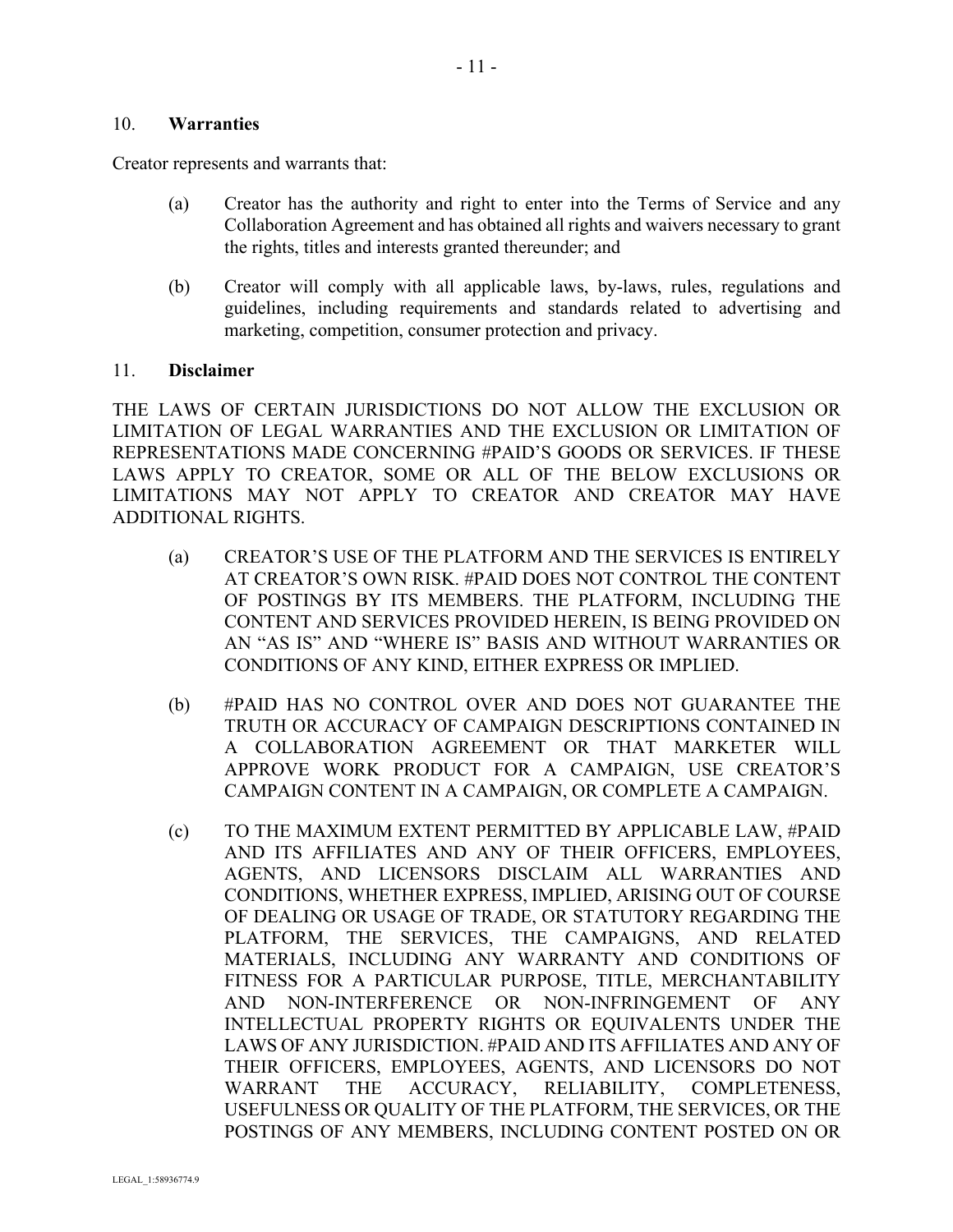#### 10. **Warranties**

Creator represents and warrants that:

- (a) Creator has the authority and right to enter into the Terms of Service and any Collaboration Agreement and has obtained all rights and waivers necessary to grant the rights, titles and interests granted thereunder; and
- (b) Creator will comply with all applicable laws, by-laws, rules, regulations and guidelines, including requirements and standards related to advertising and marketing, competition, consumer protection and privacy.

#### 11. **Disclaimer**

THE LAWS OF CERTAIN JURISDICTIONS DO NOT ALLOW THE EXCLUSION OR LIMITATION OF LEGAL WARRANTIES AND THE EXCLUSION OR LIMITATION OF REPRESENTATIONS MADE CONCERNING #PAID'S GOODS OR SERVICES. IF THESE LAWS APPLY TO CREATOR, SOME OR ALL OF THE BELOW EXCLUSIONS OR LIMITATIONS MAY NOT APPLY TO CREATOR AND CREATOR MAY HAVE ADDITIONAL RIGHTS.

- (a) CREATOR'S USE OF THE PLATFORM AND THE SERVICES IS ENTIRELY AT CREATOR'S OWN RISK. #PAID DOES NOT CONTROL THE CONTENT OF POSTINGS BY ITS MEMBERS. THE PLATFORM, INCLUDING THE CONTENT AND SERVICES PROVIDED HEREIN, IS BEING PROVIDED ON AN "AS IS" AND "WHERE IS" BASIS AND WITHOUT WARRANTIES OR CONDITIONS OF ANY KIND, EITHER EXPRESS OR IMPLIED.
- (b) #PAID HAS NO CONTROL OVER AND DOES NOT GUARANTEE THE TRUTH OR ACCURACY OF CAMPAIGN DESCRIPTIONS CONTAINED IN A COLLABORATION AGREEMENT OR THAT MARKETER WILL APPROVE WORK PRODUCT FOR A CAMPAIGN, USE CREATOR'S CAMPAIGN CONTENT IN A CAMPAIGN, OR COMPLETE A CAMPAIGN.
- (c) TO THE MAXIMUM EXTENT PERMITTED BY APPLICABLE LAW, #PAID AND ITS AFFILIATES AND ANY OF THEIR OFFICERS, EMPLOYEES, AGENTS, AND LICENSORS DISCLAIM ALL WARRANTIES AND CONDITIONS, WHETHER EXPRESS, IMPLIED, ARISING OUT OF COURSE OF DEALING OR USAGE OF TRADE, OR STATUTORY REGARDING THE PLATFORM, THE SERVICES, THE CAMPAIGNS, AND RELATED MATERIALS, INCLUDING ANY WARRANTY AND CONDITIONS OF FITNESS FOR A PARTICULAR PURPOSE, TITLE, MERCHANTABILITY AND NON-INTERFERENCE OR NON-INFRINGEMENT OF ANY INTELLECTUAL PROPERTY RIGHTS OR EQUIVALENTS UNDER THE LAWS OF ANY JURISDICTION. #PAID AND ITS AFFILIATES AND ANY OF THEIR OFFICERS, EMPLOYEES, AGENTS, AND LICENSORS DO NOT WARRANT THE ACCURACY, RELIABILITY, COMPLETENESS, USEFULNESS OR QUALITY OF THE PLATFORM, THE SERVICES, OR THE POSTINGS OF ANY MEMBERS, INCLUDING CONTENT POSTED ON OR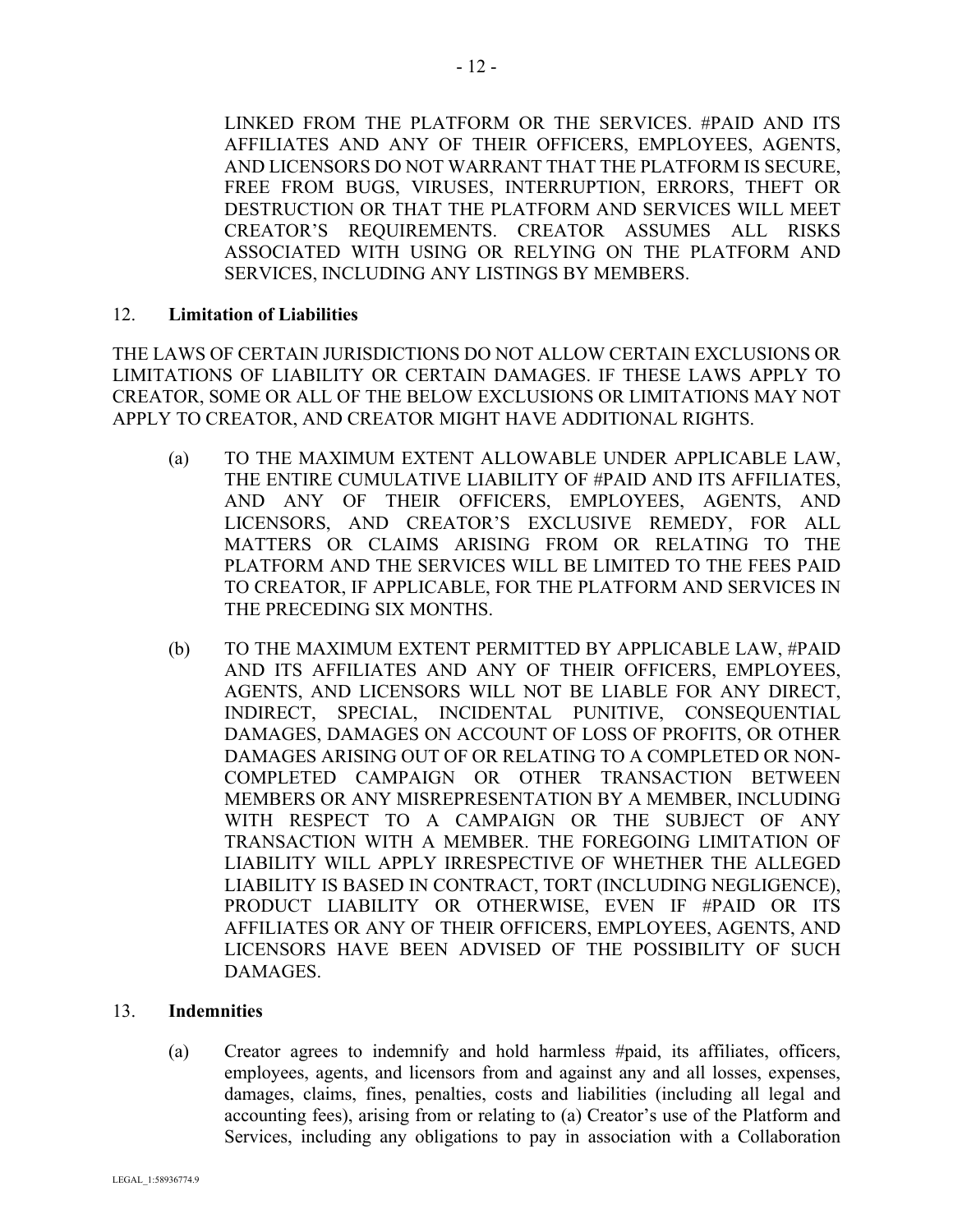LINKED FROM THE PLATFORM OR THE SERVICES. #PAID AND ITS AFFILIATES AND ANY OF THEIR OFFICERS, EMPLOYEES, AGENTS, AND LICENSORS DO NOT WARRANT THAT THE PLATFORM IS SECURE, FREE FROM BUGS, VIRUSES, INTERRUPTION, ERRORS, THEFT OR DESTRUCTION OR THAT THE PLATFORM AND SERVICES WILL MEET CREATOR'S REQUIREMENTS. CREATOR ASSUMES ALL RISKS ASSOCIATED WITH USING OR RELYING ON THE PLATFORM AND SERVICES, INCLUDING ANY LISTINGS BY MEMBERS.

#### 12. **Limitation of Liabilities**

THE LAWS OF CERTAIN JURISDICTIONS DO NOT ALLOW CERTAIN EXCLUSIONS OR LIMITATIONS OF LIABILITY OR CERTAIN DAMAGES. IF THESE LAWS APPLY TO CREATOR, SOME OR ALL OF THE BELOW EXCLUSIONS OR LIMITATIONS MAY NOT APPLY TO CREATOR, AND CREATOR MIGHT HAVE ADDITIONAL RIGHTS.

- (a) TO THE MAXIMUM EXTENT ALLOWABLE UNDER APPLICABLE LAW, THE ENTIRE CUMULATIVE LIABILITY OF #PAID AND ITS AFFILIATES, AND ANY OF THEIR OFFICERS, EMPLOYEES, AGENTS, AND LICENSORS, AND CREATOR'S EXCLUSIVE REMEDY, FOR ALL MATTERS OR CLAIMS ARISING FROM OR RELATING TO THE PLATFORM AND THE SERVICES WILL BE LIMITED TO THE FEES PAID TO CREATOR, IF APPLICABLE, FOR THE PLATFORM AND SERVICES IN THE PRECEDING SIX MONTHS.
- (b) TO THE MAXIMUM EXTENT PERMITTED BY APPLICABLE LAW, #PAID AND ITS AFFILIATES AND ANY OF THEIR OFFICERS, EMPLOYEES, AGENTS, AND LICENSORS WILL NOT BE LIABLE FOR ANY DIRECT, INDIRECT, SPECIAL, INCIDENTAL PUNITIVE, CONSEQUENTIAL DAMAGES, DAMAGES ON ACCOUNT OF LOSS OF PROFITS, OR OTHER DAMAGES ARISING OUT OF OR RELATING TO A COMPLETED OR NON-COMPLETED CAMPAIGN OR OTHER TRANSACTION BETWEEN MEMBERS OR ANY MISREPRESENTATION BY A MEMBER, INCLUDING WITH RESPECT TO A CAMPAIGN OR THE SUBJECT OF ANY TRANSACTION WITH A MEMBER. THE FOREGOING LIMITATION OF LIABILITY WILL APPLY IRRESPECTIVE OF WHETHER THE ALLEGED LIABILITY IS BASED IN CONTRACT, TORT (INCLUDING NEGLIGENCE), PRODUCT LIABILITY OR OTHERWISE, EVEN IF #PAID OR ITS AFFILIATES OR ANY OF THEIR OFFICERS, EMPLOYEES, AGENTS, AND LICENSORS HAVE BEEN ADVISED OF THE POSSIBILITY OF SUCH DAMAGES.

#### 13. **Indemnities**

(a) Creator agrees to indemnify and hold harmless #paid, its affiliates, officers, employees, agents, and licensors from and against any and all losses, expenses, damages, claims, fines, penalties, costs and liabilities (including all legal and accounting fees), arising from or relating to (a) Creator's use of the Platform and Services, including any obligations to pay in association with a Collaboration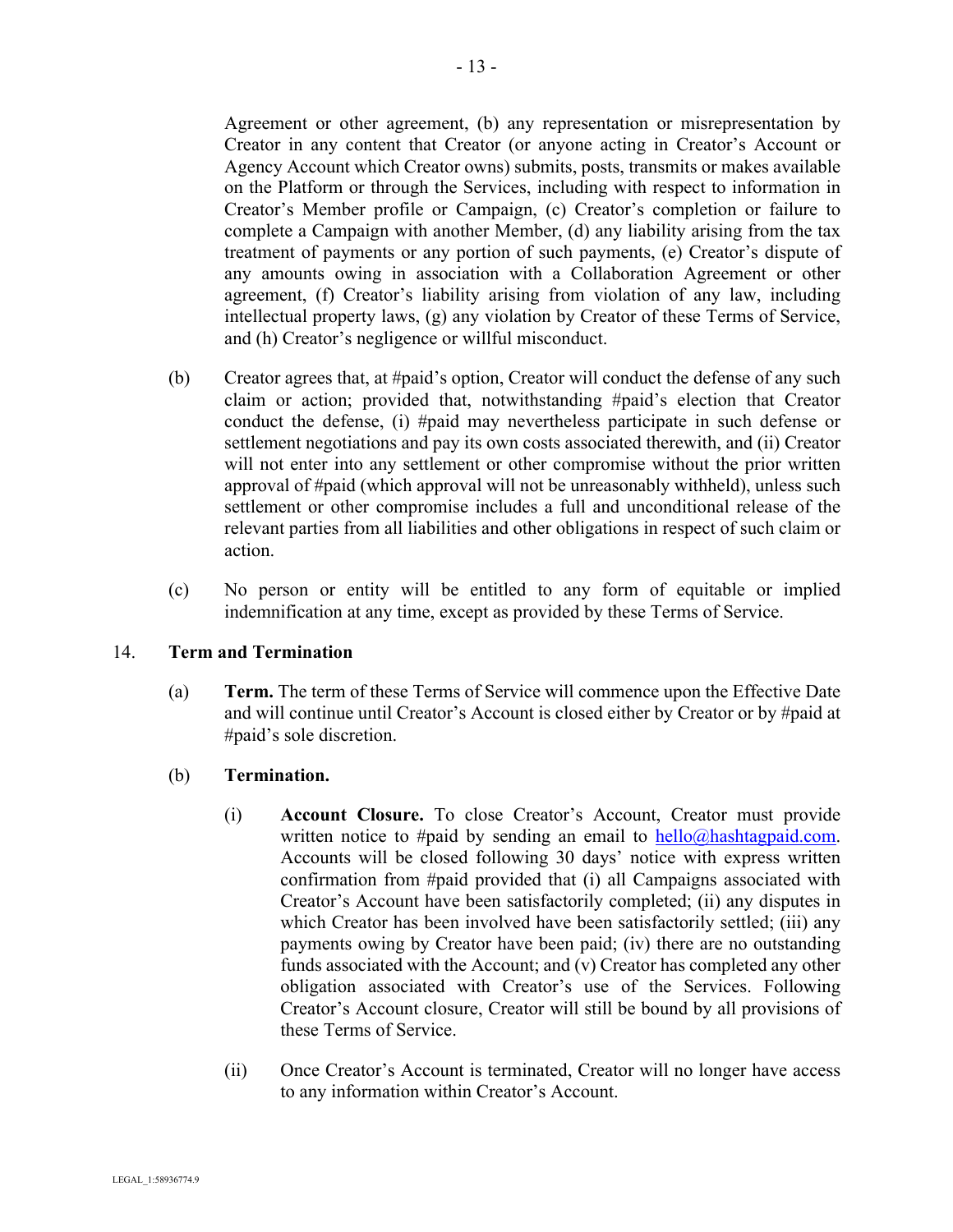Agreement or other agreement, (b) any representation or misrepresentation by Creator in any content that Creator (or anyone acting in Creator's Account or Agency Account which Creator owns) submits, posts, transmits or makes available on the Platform or through the Services, including with respect to information in Creator's Member profile or Campaign, (c) Creator's completion or failure to complete a Campaign with another Member, (d) any liability arising from the tax treatment of payments or any portion of such payments, (e) Creator's dispute of any amounts owing in association with a Collaboration Agreement or other agreement, (f) Creator's liability arising from violation of any law, including intellectual property laws, (g) any violation by Creator of these Terms of Service, and (h) Creator's negligence or willful misconduct.

- (b) Creator agrees that, at #paid's option, Creator will conduct the defense of any such claim or action; provided that, notwithstanding #paid's election that Creator conduct the defense, (i) #paid may nevertheless participate in such defense or settlement negotiations and pay its own costs associated therewith, and (ii) Creator will not enter into any settlement or other compromise without the prior written approval of #paid (which approval will not be unreasonably withheld), unless such settlement or other compromise includes a full and unconditional release of the relevant parties from all liabilities and other obligations in respect of such claim or action.
- (c) No person or entity will be entitled to any form of equitable or implied indemnification at any time, except as provided by these Terms of Service.

#### 14. **Term and Termination**

- (a) **Term.** The term of these Terms of Service will commence upon the Effective Date and will continue until Creator's Account is closed either by Creator or by #paid at #paid's sole discretion.
- (b) **Termination.** 
	- (i) **Account Closure.** To close Creator's Account, Creator must provide written notice to #paid by sending an email to  $\text{hello@hashtag paid.com.}$ Accounts will be closed following 30 days' notice with express written confirmation from #paid provided that (i) all Campaigns associated with Creator's Account have been satisfactorily completed; (ii) any disputes in which Creator has been involved have been satisfactorily settled; (iii) any payments owing by Creator have been paid; (iv) there are no outstanding funds associated with the Account; and (v) Creator has completed any other obligation associated with Creator's use of the Services. Following Creator's Account closure, Creator will still be bound by all provisions of these Terms of Service.
	- (ii) Once Creator's Account is terminated, Creator will no longer have access to any information within Creator's Account.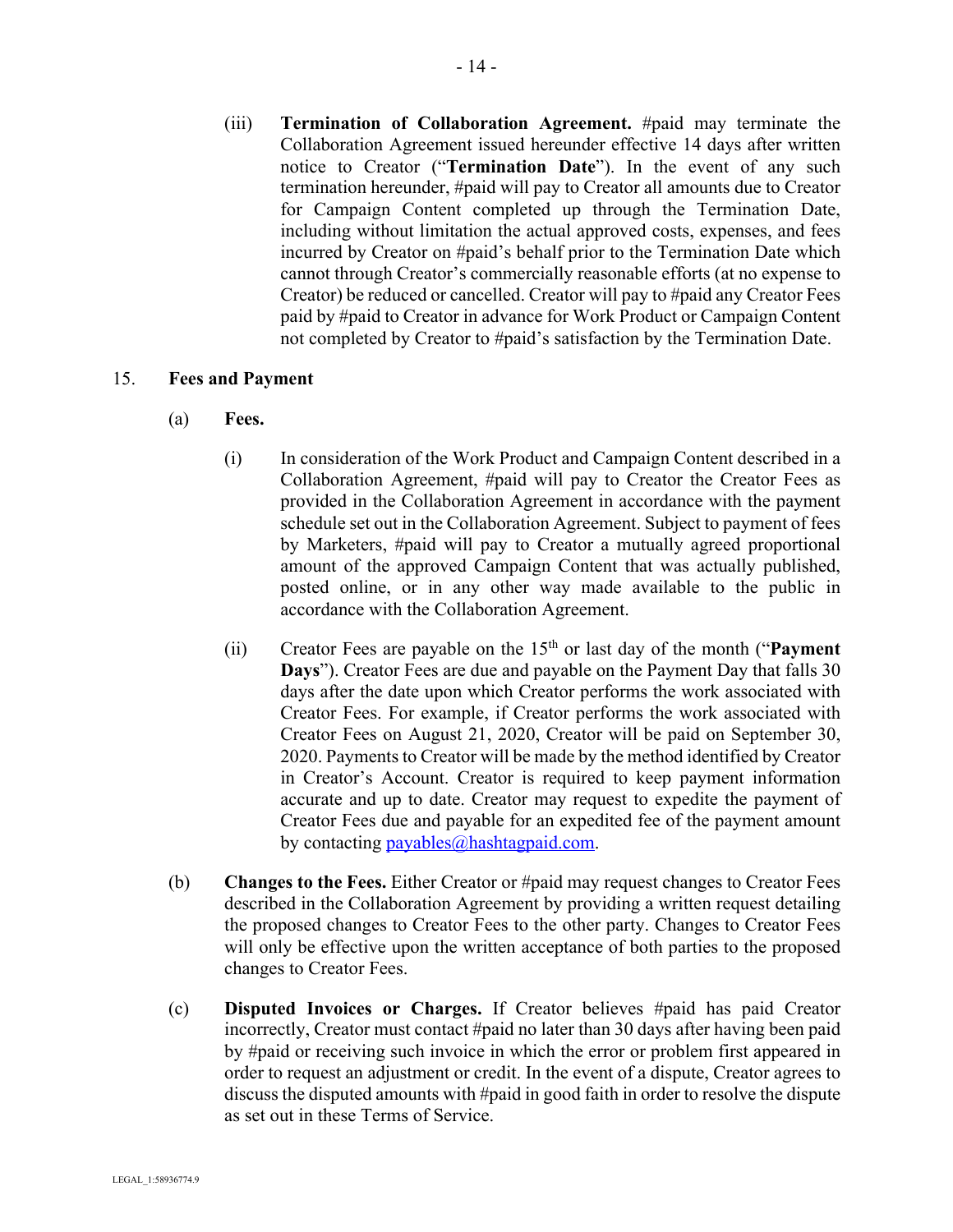(iii) **Termination of Collaboration Agreement.** #paid may terminate the Collaboration Agreement issued hereunder effective 14 days after written notice to Creator ("**Termination Date**"). In the event of any such termination hereunder, #paid will pay to Creator all amounts due to Creator for Campaign Content completed up through the Termination Date, including without limitation the actual approved costs, expenses, and fees incurred by Creator on #paid's behalf prior to the Termination Date which cannot through Creator's commercially reasonable efforts (at no expense to Creator) be reduced or cancelled. Creator will pay to #paid any Creator Fees paid by #paid to Creator in advance for Work Product or Campaign Content not completed by Creator to #paid's satisfaction by the Termination Date.

#### 15. **Fees and Payment**

- (a) **Fees.** 
	- (i) In consideration of the Work Product and Campaign Content described in a Collaboration Agreement, #paid will pay to Creator the Creator Fees as provided in the Collaboration Agreement in accordance with the payment schedule set out in the Collaboration Agreement. Subject to payment of fees by Marketers, #paid will pay to Creator a mutually agreed proportional amount of the approved Campaign Content that was actually published, posted online, or in any other way made available to the public in accordance with the Collaboration Agreement.
	- (ii) Creator Fees are payable on the 15th or last day of the month ("**Payment Days**"). Creator Fees are due and payable on the Payment Day that falls 30 days after the date upon which Creator performs the work associated with Creator Fees. For example, if Creator performs the work associated with Creator Fees on August 21, 2020, Creator will be paid on September 30, 2020. Payments to Creator will be made by the method identified by Creator in Creator's Account. Creator is required to keep payment information accurate and up to date. Creator may request to expedite the payment of Creator Fees due and payable for an expedited fee of the payment amount by contacting payables $@$ hashtagpaid.com.
- (b) **Changes to the Fees.** Either Creator or #paid may request changes to Creator Fees described in the Collaboration Agreement by providing a written request detailing the proposed changes to Creator Fees to the other party. Changes to Creator Fees will only be effective upon the written acceptance of both parties to the proposed changes to Creator Fees.
- (c) **Disputed Invoices or Charges.** If Creator believes #paid has paid Creator incorrectly, Creator must contact #paid no later than 30 days after having been paid by #paid or receiving such invoice in which the error or problem first appeared in order to request an adjustment or credit. In the event of a dispute, Creator agrees to discuss the disputed amounts with #paid in good faith in order to resolve the dispute as set out in these Terms of Service.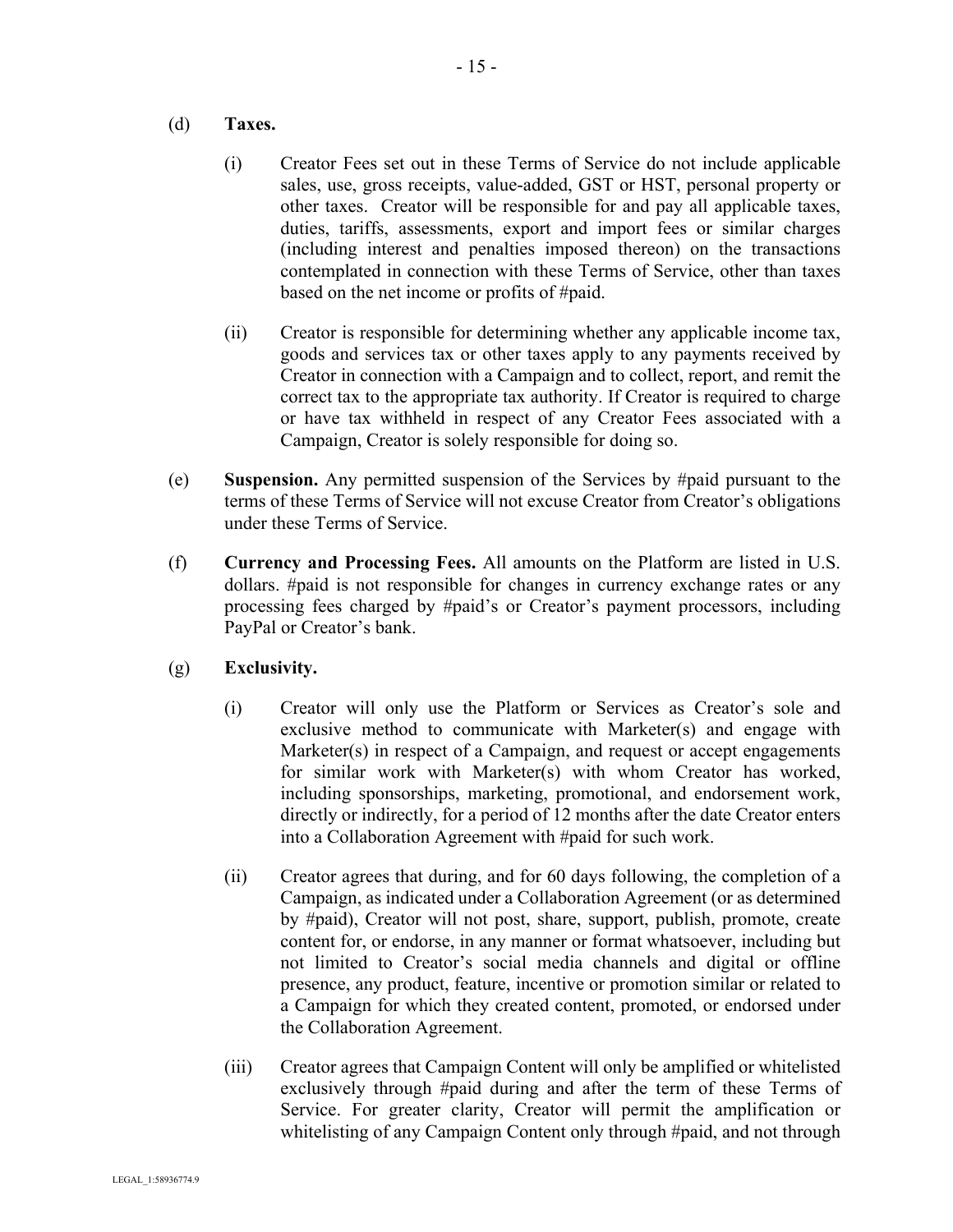#### (d) **Taxes.**

- (i) Creator Fees set out in these Terms of Service do not include applicable sales, use, gross receipts, value-added, GST or HST, personal property or other taxes. Creator will be responsible for and pay all applicable taxes, duties, tariffs, assessments, export and import fees or similar charges (including interest and penalties imposed thereon) on the transactions contemplated in connection with these Terms of Service, other than taxes based on the net income or profits of #paid.
- (ii) Creator is responsible for determining whether any applicable income tax, goods and services tax or other taxes apply to any payments received by Creator in connection with a Campaign and to collect, report, and remit the correct tax to the appropriate tax authority. If Creator is required to charge or have tax withheld in respect of any Creator Fees associated with a Campaign, Creator is solely responsible for doing so.
- (e) **Suspension.** Any permitted suspension of the Services by #paid pursuant to the terms of these Terms of Service will not excuse Creator from Creator's obligations under these Terms of Service.
- (f) **Currency and Processing Fees.** All amounts on the Platform are listed in U.S. dollars. #paid is not responsible for changes in currency exchange rates or any processing fees charged by #paid's or Creator's payment processors, including PayPal or Creator's bank.
- (g) **Exclusivity.**
	- (i) Creator will only use the Platform or Services as Creator's sole and exclusive method to communicate with Marketer(s) and engage with Marketer(s) in respect of a Campaign, and request or accept engagements for similar work with Marketer(s) with whom Creator has worked, including sponsorships, marketing, promotional, and endorsement work, directly or indirectly, for a period of 12 months after the date Creator enters into a Collaboration Agreement with #paid for such work.
	- (ii) Creator agrees that during, and for 60 days following, the completion of a Campaign, as indicated under a Collaboration Agreement (or as determined by #paid), Creator will not post, share, support, publish, promote, create content for, or endorse, in any manner or format whatsoever, including but not limited to Creator's social media channels and digital or offline presence, any product, feature, incentive or promotion similar or related to a Campaign for which they created content, promoted, or endorsed under the Collaboration Agreement.
	- (iii) Creator agrees that Campaign Content will only be amplified or whitelisted exclusively through #paid during and after the term of these Terms of Service. For greater clarity, Creator will permit the amplification or whitelisting of any Campaign Content only through #paid, and not through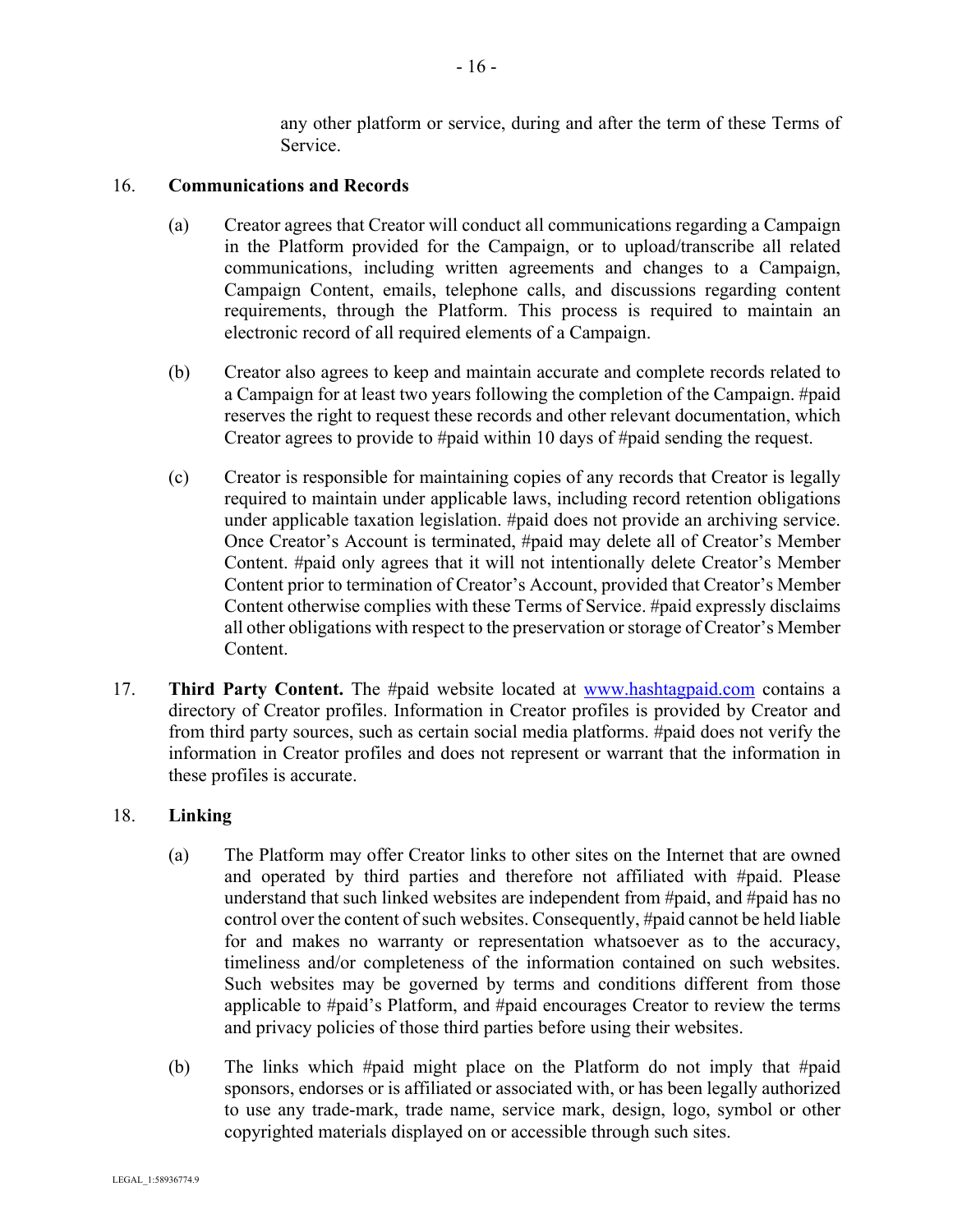any other platform or service, during and after the term of these Terms of Service.

#### 16. **Communications and Records**

- (a) Creator agrees that Creator will conduct all communications regarding a Campaign in the Platform provided for the Campaign, or to upload/transcribe all related communications, including written agreements and changes to a Campaign, Campaign Content, emails, telephone calls, and discussions regarding content requirements, through the Platform. This process is required to maintain an electronic record of all required elements of a Campaign.
- (b) Creator also agrees to keep and maintain accurate and complete records related to a Campaign for at least two years following the completion of the Campaign. #paid reserves the right to request these records and other relevant documentation, which Creator agrees to provide to #paid within 10 days of #paid sending the request.
- (c) Creator is responsible for maintaining copies of any records that Creator is legally required to maintain under applicable laws, including record retention obligations under applicable taxation legislation. #paid does not provide an archiving service. Once Creator's Account is terminated, #paid may delete all of Creator's Member Content. #paid only agrees that it will not intentionally delete Creator's Member Content prior to termination of Creator's Account, provided that Creator's Member Content otherwise complies with these Terms of Service. #paid expressly disclaims all other obligations with respect to the preservation or storage of Creator's Member Content.
- 17. **Third Party Content.** The #paid website located at www.hashtagpaid.com contains a directory of Creator profiles. Information in Creator profiles is provided by Creator and from third party sources, such as certain social media platforms. #paid does not verify the information in Creator profiles and does not represent or warrant that the information in these profiles is accurate.

### 18. **Linking**

- (a) The Platform may offer Creator links to other sites on the Internet that are owned and operated by third parties and therefore not affiliated with #paid. Please understand that such linked websites are independent from #paid, and #paid has no control over the content of such websites. Consequently, #paid cannot be held liable for and makes no warranty or representation whatsoever as to the accuracy, timeliness and/or completeness of the information contained on such websites. Such websites may be governed by terms and conditions different from those applicable to #paid's Platform, and #paid encourages Creator to review the terms and privacy policies of those third parties before using their websites.
- (b) The links which #paid might place on the Platform do not imply that #paid sponsors, endorses or is affiliated or associated with, or has been legally authorized to use any trade-mark, trade name, service mark, design, logo, symbol or other copyrighted materials displayed on or accessible through such sites.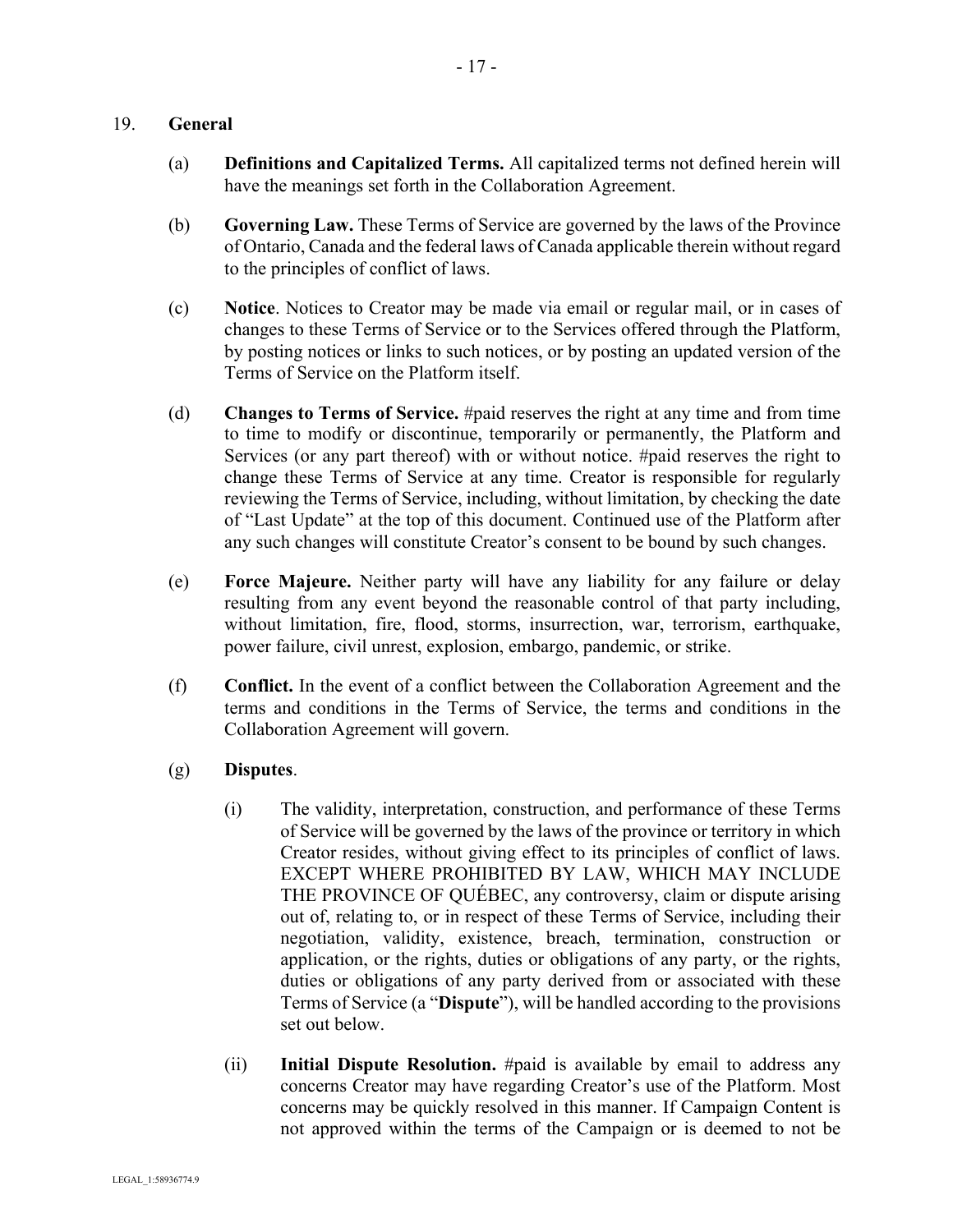#### 19. **General**

- (a) **Definitions and Capitalized Terms.** All capitalized terms not defined herein will have the meanings set forth in the Collaboration Agreement.
- (b) **Governing Law.** These Terms of Service are governed by the laws of the Province of Ontario, Canada and the federal laws of Canada applicable therein without regard to the principles of conflict of laws.
- (c) **Notice**. Notices to Creator may be made via email or regular mail, or in cases of changes to these Terms of Service or to the Services offered through the Platform, by posting notices or links to such notices, or by posting an updated version of the Terms of Service on the Platform itself.
- (d) **Changes to Terms of Service.** #paid reserves the right at any time and from time to time to modify or discontinue, temporarily or permanently, the Platform and Services (or any part thereof) with or without notice. #paid reserves the right to change these Terms of Service at any time. Creator is responsible for regularly reviewing the Terms of Service, including, without limitation, by checking the date of "Last Update" at the top of this document. Continued use of the Platform after any such changes will constitute Creator's consent to be bound by such changes.
- (e) **Force Majeure.** Neither party will have any liability for any failure or delay resulting from any event beyond the reasonable control of that party including, without limitation, fire, flood, storms, insurrection, war, terrorism, earthquake, power failure, civil unrest, explosion, embargo, pandemic, or strike.
- (f) **Conflict.** In the event of a conflict between the Collaboration Agreement and the terms and conditions in the Terms of Service, the terms and conditions in the Collaboration Agreement will govern.

### (g) **Disputes**.

- (i) The validity, interpretation, construction, and performance of these Terms of Service will be governed by the laws of the province or territory in which Creator resides, without giving effect to its principles of conflict of laws. EXCEPT WHERE PROHIBITED BY LAW, WHICH MAY INCLUDE THE PROVINCE OF QUÉBEC, any controversy, claim or dispute arising out of, relating to, or in respect of these Terms of Service, including their negotiation, validity, existence, breach, termination, construction or application, or the rights, duties or obligations of any party, or the rights, duties or obligations of any party derived from or associated with these Terms of Service (a "**Dispute**"), will be handled according to the provisions set out below.
- (ii) **Initial Dispute Resolution.** #paid is available by email to address any concerns Creator may have regarding Creator's use of the Platform. Most concerns may be quickly resolved in this manner. If Campaign Content is not approved within the terms of the Campaign or is deemed to not be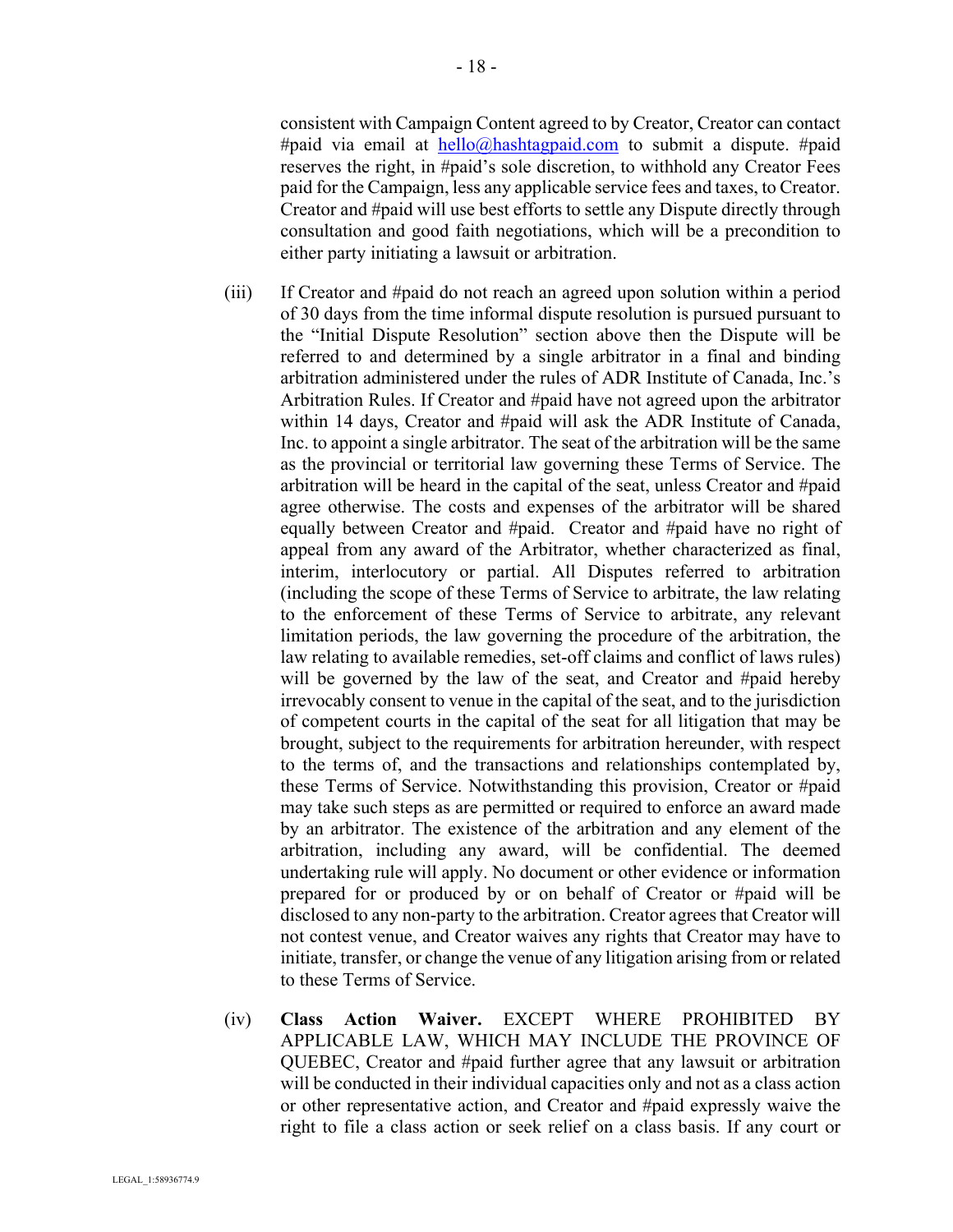consistent with Campaign Content agreed to by Creator, Creator can contact #paid via email at  $\frac{\text{hello@hashtagonal.com}}{\text{hashtagonal}}$  to submit a dispute. #paid reserves the right, in #paid's sole discretion, to withhold any Creator Fees paid for the Campaign, less any applicable service fees and taxes, to Creator. Creator and #paid will use best efforts to settle any Dispute directly through consultation and good faith negotiations, which will be a precondition to either party initiating a lawsuit or arbitration.

- (iii) If Creator and #paid do not reach an agreed upon solution within a period of 30 days from the time informal dispute resolution is pursued pursuant to the "Initial Dispute Resolution" section above then the Dispute will be referred to and determined by a single arbitrator in a final and binding arbitration administered under the rules of ADR Institute of Canada, Inc.'s Arbitration Rules. If Creator and #paid have not agreed upon the arbitrator within 14 days, Creator and #paid will ask the ADR Institute of Canada, Inc. to appoint a single arbitrator. The seat of the arbitration will be the same as the provincial or territorial law governing these Terms of Service. The arbitration will be heard in the capital of the seat, unless Creator and #paid agree otherwise. The costs and expenses of the arbitrator will be shared equally between Creator and #paid. Creator and #paid have no right of appeal from any award of the Arbitrator, whether characterized as final, interim, interlocutory or partial. All Disputes referred to arbitration (including the scope of these Terms of Service to arbitrate, the law relating to the enforcement of these Terms of Service to arbitrate, any relevant limitation periods, the law governing the procedure of the arbitration, the law relating to available remedies, set-off claims and conflict of laws rules) will be governed by the law of the seat, and Creator and #paid hereby irrevocably consent to venue in the capital of the seat, and to the jurisdiction of competent courts in the capital of the seat for all litigation that may be brought, subject to the requirements for arbitration hereunder, with respect to the terms of, and the transactions and relationships contemplated by, these Terms of Service. Notwithstanding this provision, Creator or #paid may take such steps as are permitted or required to enforce an award made by an arbitrator. The existence of the arbitration and any element of the arbitration, including any award, will be confidential. The deemed undertaking rule will apply. No document or other evidence or information prepared for or produced by or on behalf of Creator or #paid will be disclosed to any non-party to the arbitration. Creator agrees that Creator will not contest venue, and Creator waives any rights that Creator may have to initiate, transfer, or change the venue of any litigation arising from or related to these Terms of Service.
- (iv) **Class Action Waiver.** EXCEPT WHERE PROHIBITED BY APPLICABLE LAW, WHICH MAY INCLUDE THE PROVINCE OF QUEBEC, Creator and #paid further agree that any lawsuit or arbitration will be conducted in their individual capacities only and not as a class action or other representative action, and Creator and #paid expressly waive the right to file a class action or seek relief on a class basis. If any court or